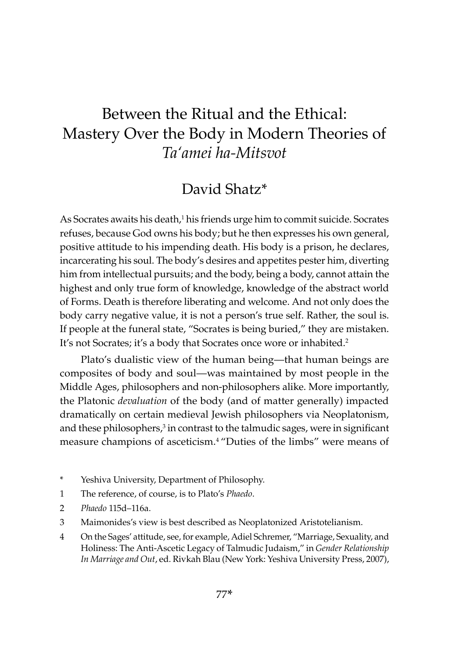# Between the Ritual and the Ethical: Mastery Over the Body in Modern Theories of *Ta'amei ha-Mitsvot*

## David Shatz\*

As Socrates awaits his death,<sup>1</sup> his friends urge him to commit suicide. Socrates refuses, because God owns his body; but he then expresses his own general, positive attitude to his impending death. His body is a prison, he declares, incarcerating his soul. The body's desires and appetites pester him, diverting him from intellectual pursuits; and the body, being a body, cannot attain the highest and only true form of knowledge, knowledge of the abstract world of Forms. Death is therefore liberating and welcome. And not only does the body carry negative value, it is not a person's true self. Rather, the soul is. If people at the funeral state, "Socrates is being buried," they are mistaken. It's not Socrates; it's a body that Socrates once wore or inhabited.<sup>2</sup>

Plato's dualistic view of the human being—that human beings are composites of body and soul—was maintained by most people in the Middle Ages, philosophers and non-philosophers alike. More importantly, the Platonic *devaluation* of the body (and of matter generally) impacted dramatically on certain medieval Jewish philosophers via Neoplatonism, and these philosophers, $3$  in contrast to the talmudic sages, were in significant measure champions of asceticism.4 "Duties of the limbs" were means of

- \* Yeshiva University, Department of Philosophy.
- 1 The reference, of course, is to Plato's *Phaedo*.
- 2 *Phaedo* 115d–116a.
- 3 Maimonides's view is best described as Neoplatonized Aristotelianism.
- 4 On the Sages' attitude, see, for example, Adiel Schremer, "Marriage, Sexuality, and Holiness: The Anti-Ascetic Legacy of Talmudic Judaism," in *Gender Relationship In Marriage and Out*, ed. Rivkah Blau (New York: Yeshiva University Press, 2007),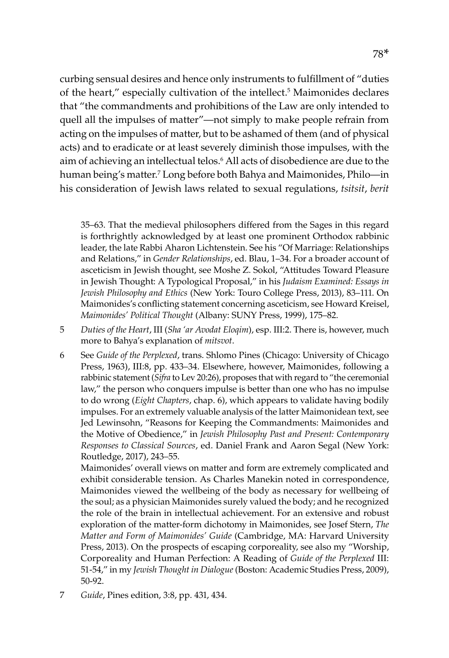curbing sensual desires and hence only instruments to fulfillment of "duties of the heart," especially cultivation of the intellect.<sup>5</sup> Maimonides declares that "the commandments and prohibitions of the Law are only intended to quell all the impulses of matter"—not simply to make people refrain from acting on the impulses of matter, but to be ashamed of them (and of physical acts) and to eradicate or at least severely diminish those impulses, with the aim of achieving an intellectual telos.6 All acts of disobedience are due to the human being's matter.7 Long before both Bahya and Maimonides, Philo—in his consideration of Jewish laws related to sexual regulations, *tsitsit*, *berit* 

35–63. That the medieval philosophers differed from the Sages in this regard is forthrightly acknowledged by at least one prominent Orthodox rabbinic leader, the late Rabbi Aharon Lichtenstein. See his "Of Marriage: Relationships and Relations," in *Gender Relationships*, ed. Blau, 1–34. For a broader account of asceticism in Jewish thought, see Moshe Z. Sokol, "Attitudes Toward Pleasure in Jewish Thought: A Typological Proposal," in his *Judaism Examined: Essays in Jewish Philosophy and Ethics* (New York: Touro College Press, 2013), 83–111. On Maimonides's conflicting statement concerning asceticism, see Howard Kreisel, *Maimonides' Political Thought* (Albany: SUNY Press, 1999), 175–82.

- 5 *Duties of the Heart*, III (*Sha 'ar Avodat Eloqim*), esp. III:2. There is, however, much more to Bahya's explanation of *mitsvot*.
- 6 See *Guide of the Perplexed*, trans. Shlomo Pines (Chicago: University of Chicago Press, 1963), III:8, pp. 433–34. Elsewhere, however, Maimonides, following a rabbinic statement (*Sifra* to Lev 20:26), proposes that with regard to "the ceremonial law," the person who conquers impulse is better than one who has no impulse to do wrong (*Eight Chapters*, chap. 6), which appears to validate having bodily impulses. For an extremely valuable analysis of the latter Maimonidean text, see Jed Lewinsohn, "Reasons for Keeping the Commandments: Maimonides and the Motive of Obedience," in *Jewish Philosophy Past and Present: Contemporary Responses to Classical Sources*, ed. Daniel Frank and Aaron Segal (New York: Routledge, 2017), 243–55.

Maimonides' overall views on matter and form are extremely complicated and exhibit considerable tension. As Charles Manekin noted in correspondence, Maimonides viewed the wellbeing of the body as necessary for wellbeing of the soul; as a physician Maimonides surely valued the body; and he recognized the role of the brain in intellectual achievement. For an extensive and robust exploration of the matter-form dichotomy in Maimonides, see Josef Stern, *The Matter and Form of Maimonides' Guide* (Cambridge, MA: Harvard University Press, 2013). On the prospects of escaping corporeality, see also my "Worship, Corporeality and Human Perfection: A Reading of *Guide of the Perplexed* III: 51-54," in my *Jewish Thought in Dialogue* (Boston: Academic Studies Press, 2009), 50-92.

7 *Guide*, Pines edition, 3:8, pp. 431, 434.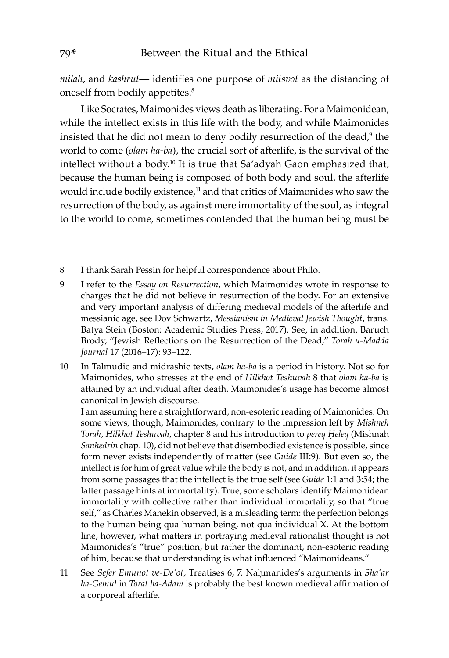*milah*, and *kashrut*— identifies one purpose of *mitsvot* as the distancing of oneself from bodily appetites.8

Like Socrates, Maimonides views death as liberating. For a Maimonidean, while the intellect exists in this life with the body, and while Maimonides insisted that he did not mean to deny bodily resurrection of the dead,<sup>9</sup> the world to come (*olam ha-ba*), the crucial sort of afterlife, is the survival of the intellect without a body.10 It is true that Sa'adyah Gaon emphasized that, because the human being is composed of both body and soul, the afterlife would include bodily existence,<sup>11</sup> and that critics of Maimonides who saw the resurrection of the body, as against mere immortality of the soul, as integral to the world to come, sometimes contended that the human being must be

- 8 I thank Sarah Pessin for helpful correspondence about Philo.
- 9 I refer to the *Essay on Resurrection*, which Maimonides wrote in response to charges that he did not believe in resurrection of the body. For an extensive and very important analysis of differing medieval models of the afterlife and messianic age, see Dov Schwartz, *Messianism in Medieval Jewish Thought*, trans. Batya Stein (Boston: Academic Studies Press, 2017). See, in addition, Baruch Brody, "Jewish Reflections on the Resurrection of the Dead," *Torah u-Madda Journal* 17 (2016–17): 93–122.
- 10 In Talmudic and midrashic texts, *olam ha-ba* is a period in history. Not so for Maimonides, who stresses at the end of *Hilkhot Teshuvah* 8 that *olam ha-ba* is attained by an individual after death. Maimonides's usage has become almost canonical in Jewish discourse.

I am assuming here a straightforward, non-esoteric reading of Maimonides. On some views, though, Maimonides, contrary to the impression left by *Mishneh Torah*, *Hilkhot Teshuvah*, chapter 8 and his introduction to *pereq Ḥeleq* (Mishnah *Sanhedrin* chap. 10), did not believe that disembodied existence is possible, since form never exists independently of matter (see *Guide* III:9). But even so, the intellect is for him of great value while the body is not, and in addition, it appears from some passages that the intellect is the true self (see *Guide* 1:1 and 3:54; the latter passage hints at immortality). True, some scholars identify Maimonidean immortality with collective rather than individual immortality, so that "true self," as Charles Manekin observed, is a misleading term: the perfection belongs to the human being qua human being, not qua individual X. At the bottom line, however, what matters in portraying medieval rationalist thought is not Maimonides's "true" position, but rather the dominant, non-esoteric reading of him, because that understanding is what influenced "Maimonideans."

11 See *Sefer Emunot ve-De'ot*, Treatises 6, 7. Naḥmanides's arguments in *Sha'ar ha-Gemul* in *Torat ha-Adam* is probably the best known medieval affirmation of a corporeal afterlife.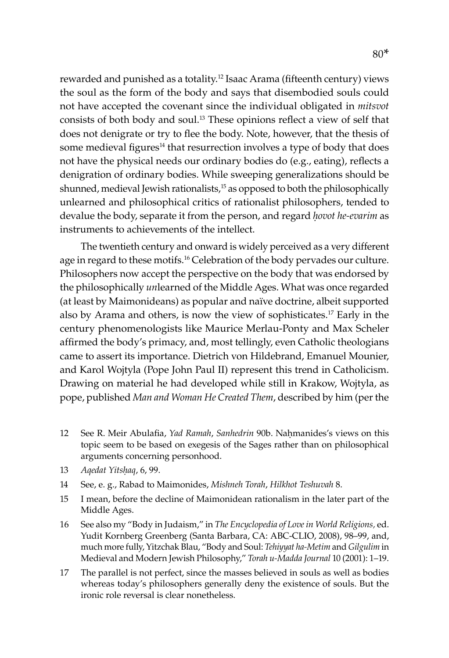rewarded and punished as a totality.12 Isaac Arama (fifteenth century) views the soul as the form of the body and says that disembodied souls could not have accepted the covenant since the individual obligated in *mitsvot* consists of both body and soul.13 These opinions reflect a view of self that does not denigrate or try to flee the body. Note, however, that the thesis of some medieval figures<sup>14</sup> that resurrection involves a type of body that does not have the physical needs our ordinary bodies do (e.g., eating), reflects a denigration of ordinary bodies. While sweeping generalizations should be shunned, medieval Jewish rationalists,<sup>15</sup> as opposed to both the philosophically unlearned and philosophical critics of rationalist philosophers, tended to devalue the body, separate it from the person, and regard *ḥovot he-evarim* as instruments to achievements of the intellect.

The twentieth century and onward is widely perceived as a very different age in regard to these motifs.<sup>16</sup> Celebration of the body pervades our culture. Philosophers now accept the perspective on the body that was endorsed by the philosophically *un*learned of the Middle Ages. What was once regarded (at least by Maimonideans) as popular and naïve doctrine, albeit supported also by Arama and others, is now the view of sophisticates.17 Early in the century phenomenologists like Maurice Merlau-Ponty and Max Scheler affirmed the body's primacy, and, most tellingly, even Catholic theologians came to assert its importance. Dietrich von Hildebrand, Emanuel Mounier, and Karol Wojtyla (Pope John Paul II) represent this trend in Catholicism. Drawing on material he had developed while still in Krakow, Wojtyla, as pope, published *Man and Woman He Created Them*, described by him (per the

- 12 See R. Meir Abulafia, *Yad Ramah*, *Sanhedrin* 90b. Nahmanides's views on this topic seem to be based on exegesis of the Sages rather than on philosophical arguments concerning personhood.
- 13 *Aqedat Yitsḥaq*, 6, 99.
- 14 See, e. g., Rabad to Maimonides, *Mishneh Torah*, *Hilkhot Teshuvah* 8.
- 15 I mean, before the decline of Maimonidean rationalism in the later part of the Middle Ages.
- 16 See also my "Body in Judaism," in *The Encyclopedia of Love in World Religions,* ed. Yudit Kornberg Greenberg (Santa Barbara, CA: ABC-CLIO, 2008), 98–99, and, much more fully, Yitzchak Blau, "Body and Soul: *Tehiyyat ha-Metim* and *Gilgulim* in Medieval and Modern Jewish Philosophy," *Torah u-Madda Journal* 10 (2001): 1–19.
- 17 The parallel is not perfect, since the masses believed in souls as well as bodies whereas today's philosophers generally deny the existence of souls. But the ironic role reversal is clear nonetheless.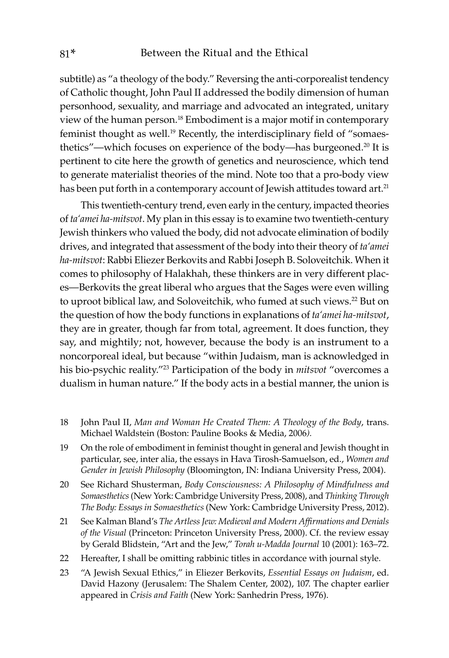subtitle) as "a theology of the body." Reversing the anti-corporealist tendency of Catholic thought, John Paul II addressed the bodily dimension of human personhood, sexuality, and marriage and advocated an integrated, unitary view of the human person.18 Embodiment is a major motif in contemporary feminist thought as well.<sup>19</sup> Recently, the interdisciplinary field of "somaesthetics"—which focuses on experience of the body—has burgeoned.<sup>20</sup> It is pertinent to cite here the growth of genetics and neuroscience, which tend to generate materialist theories of the mind. Note too that a pro-body view has been put forth in a contemporary account of Jewish attitudes toward art.<sup>21</sup>

This twentieth-century trend, even early in the century, impacted theories of *ta'amei ha-mitsvot*. My plan in this essay is to examine two twentieth-century Jewish thinkers who valued the body, did not advocate elimination of bodily drives, and integrated that assessment of the body into their theory of *ta'amei ha-mitsvot*: Rabbi Eliezer Berkovits and Rabbi Joseph B. Soloveitchik. When it comes to philosophy of Halakhah, these thinkers are in very different places—Berkovits the great liberal who argues that the Sages were even willing to uproot biblical law, and Soloveitchik, who fumed at such views.<sup>22</sup> But on the question of how the body functions in explanations of *ta'amei ha-mitsvot*, they are in greater, though far from total, agreement. It does function, they say, and mightily; not, however, because the body is an instrument to a noncorporeal ideal, but because "within Judaism, man is acknowledged in his bio-psychic reality."23 Participation of the body in *mitsvot* "overcomes a dualism in human nature." If the body acts in a bestial manner, the union is

- 18 John Paul II, *Man and Woman He Created Them: A Theology of the Body*, trans. Michael Waldstein (Boston: Pauline Books & Media, 2006*).*
- 19 On the role of embodiment in feminist thought in general and Jewish thought in particular, see, inter alia, the essays in Hava Tirosh-Samuelson, ed., *Women and Gender in Jewish Philosophy* (Bloomington, IN: Indiana University Press, 2004).
- 20 See Richard Shusterman, *Body Consciousness: A Philosophy of Mindfulness and Somaesthetics* (New York: Cambridge University Press, 2008), and *Thinking Through The Body: Essays in Somaesthetics* (New York: Cambridge University Press, 2012).
- 21 See Kalman Bland's *The Artless Jew: Medieval and Modern Affirmations and Denials of the Visual* (Princeton: Princeton University Press, 2000). Cf. the review essay by Gerald Blidstein, "Art and the Jew," *Torah u-Madda Journal* 10 (2001): 163–72.
- 22 Hereafter, I shall be omitting rabbinic titles in accordance with journal style.
- 23 "A Jewish Sexual Ethics," in Eliezer Berkovits, *Essential Essays on Judaism*, ed. David Hazony (Jerusalem: The Shalem Center, 2002), 107. The chapter earlier appeared in *Crisis and Faith* (New York: Sanhedrin Press, 1976).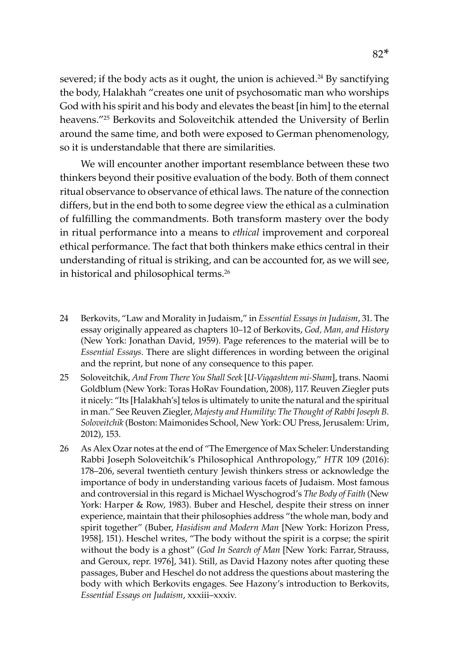severed; if the body acts as it ought, the union is achieved.<sup>24</sup> By sanctifying the body, Halakhah "creates one unit of psychosomatic man who worships God with his spirit and his body and elevates the beast [in him] to the eternal heavens."25 Berkovits and Soloveitchik attended the University of Berlin around the same time, and both were exposed to German phenomenology, so it is understandable that there are similarities.

We will encounter another important resemblance between these two thinkers beyond their positive evaluation of the body. Both of them connect ritual observance to observance of ethical laws. The nature of the connection differs, but in the end both to some degree view the ethical as a culmination of fulfilling the commandments. Both transform mastery over the body in ritual performance into a means to *ethical* improvement and corporeal ethical performance. The fact that both thinkers make ethics central in their understanding of ritual is striking, and can be accounted for, as we will see, in historical and philosophical terms.<sup>26</sup>

- 24 Berkovits, "Law and Morality in Judaism," in *Essential Essays in Judaism*, 31. The essay originally appeared as chapters 10–12 of Berkovits, *God, Man, and History*  (New York: Jonathan David, 1959). Page references to the material will be to *Essential Essays*. There are slight differences in wording between the original and the reprint, but none of any consequence to this paper.
- 25 Soloveitchik, *And From There You Shall Seek* [*U-Viqqashtem mi-Sham*], trans. Naomi Goldblum (New York: Toras HoRav Foundation, 2008), 117. Reuven Ziegler puts it nicely: "Its [Halakhah's] telos is ultimately to unite the natural and the spiritual in man." See Reuven Ziegler, *Majesty and Humility: The Thought of Rabbi Joseph B. Soloveitchik* (Boston: Maimonides School, New York: OU Press, Jerusalem: Urim, 2012), 153.
- 26 As Alex Ozar notes at the end of "The Emergence of Max Scheler: Understanding Rabbi Joseph Soloveitchik's Philosophical Anthropology," *HTR* 109 (2016): 178–206, several twentieth century Jewish thinkers stress or acknowledge the importance of body in understanding various facets of Judaism. Most famous and controversial in this regard is Michael Wyschogrod's *The Body of Faith* (New York: Harper & Row, 1983). Buber and Heschel, despite their stress on inner experience, maintain that their philosophies address "the whole man, body and spirit together" (Buber, *Hasidism and Modern Man* [New York: Horizon Press, 1958]*,* 151). Heschel writes, "The body without the spirit is a corpse; the spirit without the body is a ghost" (*God In Search of Man* [New York: Farrar, Strauss, and Geroux, repr. 1976], 341). Still, as David Hazony notes after quoting these passages, Buber and Heschel do not address the questions about mastering the body with which Berkovits engages. See Hazony's introduction to Berkovits, *Essential Essays on Judaism*, xxxiii–xxxiv.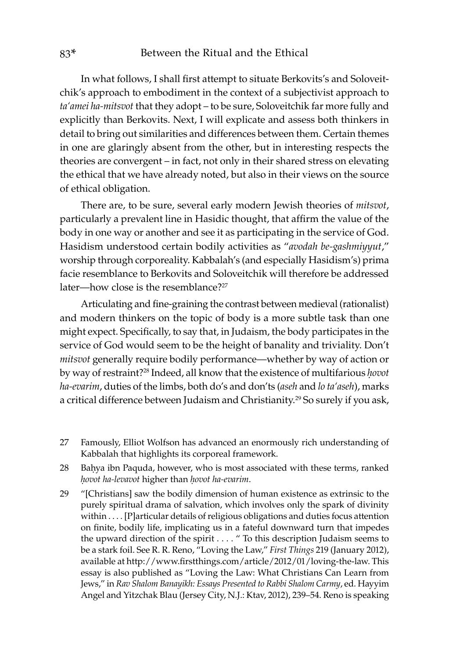In what follows, I shall first attempt to situate Berkovits's and Soloveitchik's approach to embodiment in the context of a subjectivist approach to *ta'amei ha-mitsvot* that they adopt – to be sure, Soloveitchik far more fully and explicitly than Berkovits. Next, I will explicate and assess both thinkers in detail to bring out similarities and differences between them. Certain themes in one are glaringly absent from the other, but in interesting respects the theories are convergent – in fact, not only in their shared stress on elevating the ethical that we have already noted, but also in their views on the source of ethical obligation.

There are, to be sure, several early modern Jewish theories of *mitsvot*, particularly a prevalent line in Hasidic thought, that affirm the value of the body in one way or another and see it as participating in the service of God. Hasidism understood certain bodily activities as "*avodah be-gashmiyyut*," worship through corporeality. Kabbalah's (and especially Hasidism's) prima facie resemblance to Berkovits and Soloveitchik will therefore be addressed later—how close is the resemblance?<sup>27</sup>

Articulating and fine-graining the contrast between medieval (rationalist) and modern thinkers on the topic of body is a more subtle task than one might expect. Specifically, to say that, in Judaism, the body participates in the service of God would seem to be the height of banality and triviality. Don't *mitsvot* generally require bodily performance—whether by way of action or by way of restraint?28 Indeed, all know that the existence of multifarious *ḥovot ha-evarim*, duties of the limbs, both do's and don'ts (*aseh* and *lo ta'aseh*), marks a critical difference between Judaism and Christianity.<sup>29</sup> So surely if you ask,

- 27 Famously, Elliot Wolfson has advanced an enormously rich understanding of Kabbalah that highlights its corporeal framework.
- 28 Baḥya ibn Paquda, however, who is most associated with these terms, ranked *ḥovot ha-levavot* higher than *ḥovot ha-evarim*.
- 29 "[Christians] saw the bodily dimension of human existence as extrinsic to the purely spiritual drama of salvation, which involves only the spark of divinity within . . . . [P]articular details of religious obligations and duties focus attention on finite, bodily life, implicating us in a fateful downward turn that impedes the upward direction of the spirit . . . . " To this description Judaism seems to be a stark foil. See R. R. Reno, "Loving the Law," *First Things* 219 (January 2012), available at http://www.firstthings.com/article/2012/01/loving-the-law. This essay is also published as "Loving the Law: What Christians Can Learn from Jews," in *Rav Shalom Banayikh: Essays Presented to Rabbi Shalom Carmy*, ed. Hayyim Angel and Yitzchak Blau (Jersey City, N.J.: Ktav, 2012), 239–54. Reno is speaking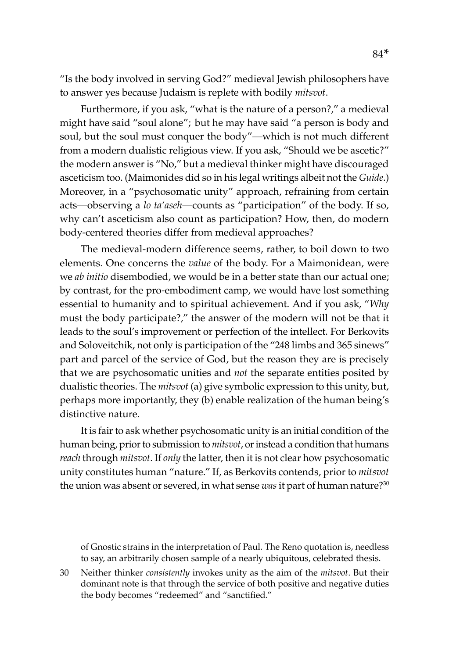"Is the body involved in serving God?" medieval Jewish philosophers have to answer yes because Judaism is replete with bodily *mitsvot*.

Furthermore, if you ask, "what is the nature of a person?," a medieval might have said "soul alone"; but he may have said "a person is body and soul, but the soul must conquer the body"—which is not much different from a modern dualistic religious view. If you ask, "Should we be ascetic?" the modern answer is "No," but a medieval thinker might have discouraged asceticism too. (Maimonides did so in his legal writings albeit not the *Guide*.) Moreover, in a "psychosomatic unity" approach, refraining from certain acts—observing a *lo ta'aseh*—counts as "participation" of the body. If so, why can't asceticism also count as participation? How, then, do modern body-centered theories differ from medieval approaches?

The medieval-modern difference seems, rather, to boil down to two elements. One concerns the *value* of the body. For a Maimonidean, were we *ab initio* disembodied, we would be in a better state than our actual one; by contrast, for the pro-embodiment camp, we would have lost something essential to humanity and to spiritual achievement. And if you ask, "*Why* must the body participate?," the answer of the modern will not be that it leads to the soul's improvement or perfection of the intellect. For Berkovits and Soloveitchik, not only is participation of the "248 limbs and 365 sinews" part and parcel of the service of God, but the reason they are is precisely that we are psychosomatic unities and *not* the separate entities posited by dualistic theories. The *mitsvot* (a) give symbolic expression to this unity, but, perhaps more importantly, they (b) enable realization of the human being's distinctive nature.

It is fair to ask whether psychosomatic unity is an initial condition of the human being, prior to submission to *mitsvot*, or instead a condition that humans *reach* through *mitsvot*. If *only* the latter, then it is not clear how psychosomatic unity constitutes human "nature." If, as Berkovits contends, prior to *mitsvot* the union was absent or severed, in what sense *was* it part of human nature?30

of Gnostic strains in the interpretation of Paul. The Reno quotation is, needless to say, an arbitrarily chosen sample of a nearly ubiquitous, celebrated thesis.

30 Neither thinker *consistently* invokes unity as the aim of the *mitsvot*. But their dominant note is that through the service of both positive and negative duties the body becomes "redeemed" and "sanctified."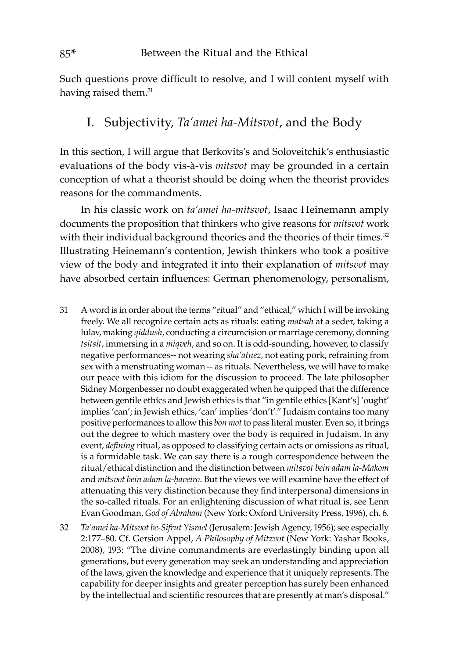Such questions prove difficult to resolve, and I will content myself with having raised them.<sup>31</sup>

### I. Subjectivity, *Ta'amei ha-Mitsvot*, and the Body

In this section, I will argue that Berkovits's and Soloveitchik's enthusiastic evaluations of the body vis-à-vis *mitsvot* may be grounded in a certain conception of what a theorist should be doing when the theorist provides reasons for the commandments.

In his classic work on *ta'amei ha-mitsvot*, Isaac Heinemann amply documents the proposition that thinkers who give reasons for *mitsvot* work with their individual background theories and the theories of their times. $32$ Illustrating Heinemann's contention, Jewish thinkers who took a positive view of the body and integrated it into their explanation of *mitsvot* may have absorbed certain influences: German phenomenology, personalism,

- 31 A word is in order about the terms "ritual" and "ethical," which I will be invoking freely. We all recognize certain acts as rituals: eating *matsah* at a seder, taking a lulav, making *qiddush*, conducting a circumcision or marriage ceremony, donning *tsitsit*, immersing in a *miqveh*, and so on. It is odd-sounding, however, to classify negative performances-- not wearing *sha'atnez,* not eating pork, refraining from sex with a menstruating woman -- as rituals. Nevertheless, we will have to make our peace with this idiom for the discussion to proceed. The late philosopher Sidney Morgenbesser no doubt exaggerated when he quipped that the difference between gentile ethics and Jewish ethics is that "in gentile ethics [Kant's] 'ought' implies 'can'; in Jewish ethics, 'can' implies 'don't'." Judaism contains too many positive performances to allow this *bon mot* to pass literal muster. Even so, it brings out the degree to which mastery over the body is required in Judaism. In any event, *defining* ritual, as opposed to classifying certain acts or omissions as ritual, is a formidable task. We can say there is a rough correspondence between the ritual/ethical distinction and the distinction between *mitsvot bein adam la-Makom* and *mitsvot bein adam la-ḥaveiro*. But the views we will examine have the effect of attenuating this very distinction because they find interpersonal dimensions in the so-called rituals. For an enlightening discussion of what ritual is, see Lenn Evan Goodman, *God of Abraham* (New York: Oxford University Press, 1996), ch. 6*.*
- 32 *Ta'amei ha-Mitsvot be-Sifrut Yisrael* (Jerusalem: Jewish Agency, 1956); see especially 2:177–80. Cf. Gersion Appel, *A Philosophy of Mitzvot* (New York: Yashar Books, 2008)*,* 193: "The divine commandments are everlastingly binding upon all generations, but every generation may seek an understanding and appreciation of the laws, given the knowledge and experience that it uniquely represents. The capability for deeper insights and greater perception has surely been enhanced by the intellectual and scientific resources that are presently at man's disposal."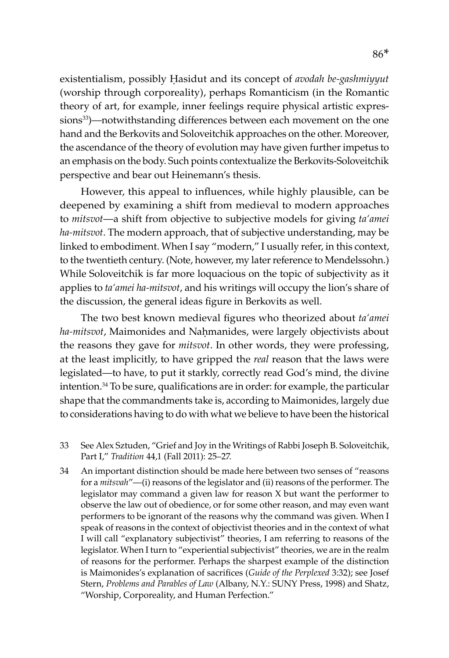existentialism, possibly Ḥasidut and its concept of *avodah be-gashmiyyut*  (worship through corporeality), perhaps Romanticism (in the Romantic theory of art, for example, inner feelings require physical artistic expressions<sup>33</sup>)—notwithstanding differences between each movement on the one hand and the Berkovits and Soloveitchik approaches on the other. Moreover, the ascendance of the theory of evolution may have given further impetus to an emphasis on the body. Such points contextualize the Berkovits-Soloveitchik perspective and bear out Heinemann's thesis.

However, this appeal to influences, while highly plausible, can be deepened by examining a shift from medieval to modern approaches to *mitsvot*—a shift from objective to subjective models for giving *ta'amei ha-mitsvot*. The modern approach, that of subjective understanding, may be linked to embodiment. When I say "modern," I usually refer, in this context, to the twentieth century. (Note, however, my later reference to Mendelssohn.) While Soloveitchik is far more loquacious on the topic of subjectivity as it applies to *ta'amei ha-mitsvot*, and his writings will occupy the lion's share of the discussion, the general ideas figure in Berkovits as well.

The two best known medieval figures who theorized about *ta'amei ha-mitsvot*, Maimonides and Naḥmanides, were largely objectivists about the reasons they gave for *mitsvot*. In other words, they were professing, at the least implicitly, to have gripped the *real* reason that the laws were legislated—to have, to put it starkly, correctly read God's mind, the divine intention.34 To be sure, qualifications are in order: for example, the particular shape that the commandments take is, according to Maimonides, largely due to considerations having to do with what we believe to have been the historical

- 33 See Alex Sztuden, "Grief and Joy in the Writings of Rabbi Joseph B. Soloveitchik, Part I," *Tradition* 44,1 (Fall 2011): 25–27.
- 34 An important distinction should be made here between two senses of "reasons for a *mitsvah*"—(i) reasons of the legislator and (ii) reasons of the performer. The legislator may command a given law for reason X but want the performer to observe the law out of obedience, or for some other reason, and may even want performers to be ignorant of the reasons why the command was given. When I speak of reasons in the context of objectivist theories and in the context of what I will call "explanatory subjectivist" theories, I am referring to reasons of the legislator. When I turn to "experiential subjectivist" theories, we are in the realm of reasons for the performer. Perhaps the sharpest example of the distinction is Maimonides's explanation of sacrifices (*Guide of the Perplexed* 3:32); see Josef Stern, *Problems and Parables of Law* (Albany, N.Y.: SUNY Press, 1998) and Shatz, "Worship, Corporeality, and Human Perfection."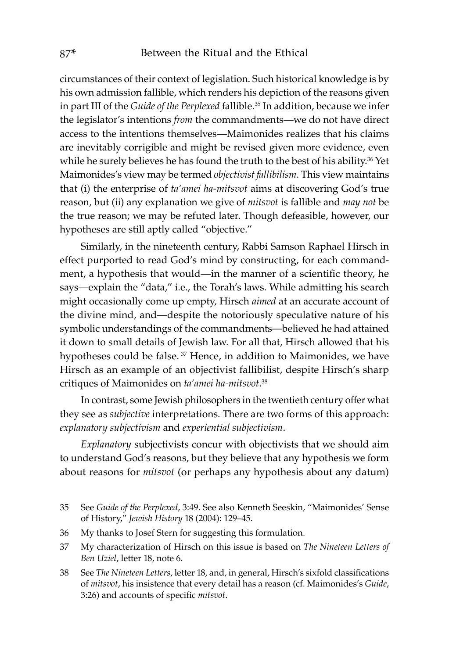circumstances of their context of legislation. Such historical knowledge is by his own admission fallible, which renders his depiction of the reasons given in part III of the *Guide of the Perplexed* fallible.<sup>35</sup> In addition, because we infer the legislator's intentions *from* the commandments—we do not have direct access to the intentions themselves—Maimonides realizes that his claims are inevitably corrigible and might be revised given more evidence, even while he surely believes he has found the truth to the best of his ability.<sup>36</sup> Yet Maimonides's view may be termed *objectivist fallibilism*. This view maintains that (i) the enterprise of *ta'amei ha-mitsvot* aims at discovering God's true reason, but (ii) any explanation we give of *mitsvot* is fallible and *may not* be the true reason; we may be refuted later. Though defeasible, however, our hypotheses are still aptly called "objective."

Similarly, in the nineteenth century, Rabbi Samson Raphael Hirsch in effect purported to read God's mind by constructing, for each commandment, a hypothesis that would—in the manner of a scientific theory, he says—explain the "data," i.e., the Torah's laws. While admitting his search might occasionally come up empty, Hirsch *aimed* at an accurate account of the divine mind, and—despite the notoriously speculative nature of his symbolic understandings of the commandments—believed he had attained it down to small details of Jewish law. For all that, Hirsch allowed that his hypotheses could be false.<sup>37</sup> Hence, in addition to Maimonides, we have Hirsch as an example of an objectivist fallibilist, despite Hirsch's sharp critiques of Maimonides on *ta'amei ha-mitsvot*. 38

In contrast, some Jewish philosophers in the twentieth century offer what they see as *subjective* interpretations*.* There are two forms of this approach: *explanatory subjectivism* and *experiential subjectivism*.

*Explanatory* subjectivists concur with objectivists that we should aim to understand God's reasons, but they believe that any hypothesis we form about reasons for *mitsvot* (or perhaps any hypothesis about any datum)

- 36 My thanks to Josef Stern for suggesting this formulation.
- 37 My characterization of Hirsch on this issue is based on *The Nineteen Letters of Ben Uziel*, letter 18, note 6.
- 38 See *The Nineteen Letters*, letter 18, and, in general, Hirsch's sixfold classifications of *mitsvot*, his insistence that every detail has a reason (cf. Maimonides's *Guide*, 3:26) and accounts of specific *mitsvot*.

<sup>35</sup> See *Guide of the Perplexed*, 3:49. See also Kenneth Seeskin, "Maimonides' Sense of History," *Jewish History* 18 (2004): 129–45.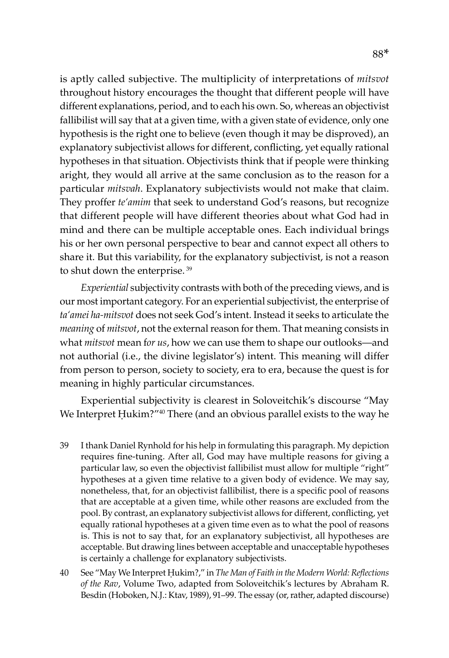is aptly called subjective. The multiplicity of interpretations of *mitsvot* throughout history encourages the thought that different people will have different explanations, period, and to each his own. So, whereas an objectivist fallibilist will say that at a given time, with a given state of evidence, only one hypothesis is the right one to believe (even though it may be disproved), an explanatory subjectivist allows for different, conflicting, yet equally rational hypotheses in that situation. Objectivists think that if people were thinking aright, they would all arrive at the same conclusion as to the reason for a particular *mitsvah*. Explanatory subjectivists would not make that claim. They proffer *te'amim* that seek to understand God's reasons, but recognize that different people will have different theories about what God had in mind and there can be multiple acceptable ones. Each individual brings his or her own personal perspective to bear and cannot expect all others to share it. But this variability, for the explanatory subjectivist, is not a reason to shut down the enterprise.<sup>39</sup>

*Experiential* subjectivity contrasts with both of the preceding views, and is our most important category. For an experiential subjectivist, the enterprise of *ta'amei ha-mitsvot* does not seek God's intent. Instead it seeks to articulate the *meaning* of *mitsvot*, not the external reason for them. That meaning consists in what *mitsvot* mean f*or us*, how we can use them to shape our outlooks—and not authorial (i.e., the divine legislator's) intent. This meaning will differ from person to person, society to society, era to era, because the quest is for meaning in highly particular circumstances.

Experiential subjectivity is clearest in Soloveitchik's discourse "May We Interpret Ḥukim?"<sup>40</sup> There (and an obvious parallel exists to the way he

- 39 I thank Daniel Rynhold for his help in formulating this paragraph. My depiction requires fine-tuning. After all, God may have multiple reasons for giving a particular law, so even the objectivist fallibilist must allow for multiple "right" hypotheses at a given time relative to a given body of evidence. We may say, nonetheless, that, for an objectivist fallibilist, there is a specific pool of reasons that are acceptable at a given time, while other reasons are excluded from the pool. By contrast, an explanatory subjectivist allows for different, conflicting, yet equally rational hypotheses at a given time even as to what the pool of reasons is. This is not to say that, for an explanatory subjectivist, all hypotheses are acceptable. But drawing lines between acceptable and unacceptable hypotheses is certainly a challenge for explanatory subjectivists.
- 40 See "May We Interpret Ḥukim?," in *The Man of Faith in the Modern World: Reflections of the Rav*, Volume Two, adapted from Soloveitchik's lectures by Abraham R. Besdin (Hoboken, N.J.: Ktav, 1989), 91–99. The essay (or, rather, adapted discourse)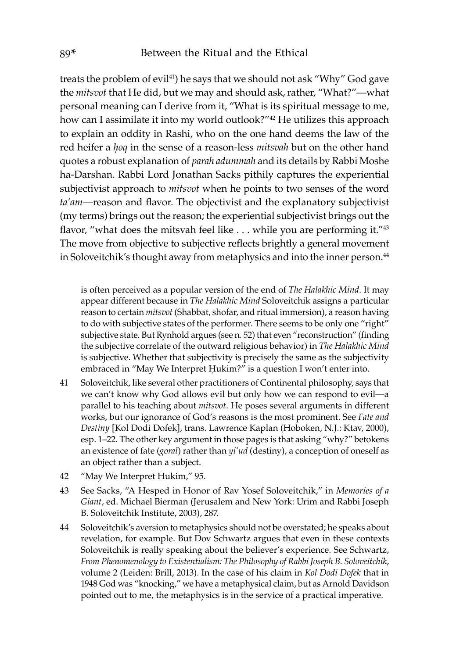treats the problem of evil<sup>41</sup>) he says that we should not ask "Why" God gave the *mitsvot* that He did, but we may and should ask, rather, "What?"—what personal meaning can I derive from it, "What is its spiritual message to me, how can I assimilate it into my world outlook?"<sup>42</sup> He utilizes this approach to explain an oddity in Rashi, who on the one hand deems the law of the red heifer a *ḥoq* in the sense of a reason-less *mitsvah* but on the other hand quotes a robust explanation of *parah adummah* and its details by Rabbi Moshe ha-Darshan. Rabbi Lord Jonathan Sacks pithily captures the experiential subjectivist approach to *mitsvot* when he points to two senses of the word *ta'am*—reason and flavor. The objectivist and the explanatory subjectivist (my terms) brings out the reason; the experiential subjectivist brings out the flavor, "what does the mitsvah feel like  $\dots$  while you are performing it." $43$ The move from objective to subjective reflects brightly a general movement in Soloveitchik's thought away from metaphysics and into the inner person.<sup>44</sup>

is often perceived as a popular version of the end of *The Halakhic Mind*. It may appear different because in *The Halakhic Mind* Soloveitchik assigns a particular reason to certain *mitsvot* (Shabbat, shofar, and ritual immersion), a reason having to do with subjective states of the performer. There seems to be only one "right" subjective state. But Rynhold argues (see n. 52) that even "reconstruction" (finding the subjective correlate of the outward religious behavior) in *The Halakhic Mind* is subjective. Whether that subjectivity is precisely the same as the subjectivity embraced in "May We Interpret Ḥukim?" is a question I won't enter into.

- 41 Soloveitchik, like several other practitioners of Continental philosophy, says that we can't know why God allows evil but only how we can respond to evil—a parallel to his teaching about *mitsvot*. He poses several arguments in different works, but our ignorance of God's reasons is the most prominent. See *Fate and Destiny* [Kol Dodi Dofek], trans. Lawrence Kaplan (Hoboken, N.J.: Ktav, 2000), esp. 1–22. The other key argument in those pages is that asking "why?" betokens an existence of fate (*goral*) rather than *yi'ud* (destiny), a conception of oneself as an object rather than a subject.
- 42 "May We Interpret Hukim," 95.
- 43 See Sacks, "A Hesped in Honor of Rav Yosef Soloveitchik," in *Memories of a Giant*, ed. Michael Bierman (Jerusalem and New York: Urim and Rabbi Joseph B. Soloveitchik Institute, 2003), 287.
- 44 Soloveitchik's aversion to metaphysics should not be overstated; he speaks about revelation, for example. But Dov Schwartz argues that even in these contexts Soloveitchik is really speaking about the believer's experience. See Schwartz, *From Phenomenology to Existentialism: The Philosophy of Rabbi Joseph B. Soloveitchik*, volume 2 (Leiden: Brill, 2013). In the case of his claim in *Kol Dodi Dofek* that in 1948 God was "knocking," we have a metaphysical claim, but as Arnold Davidson pointed out to me, the metaphysics is in the service of a practical imperative.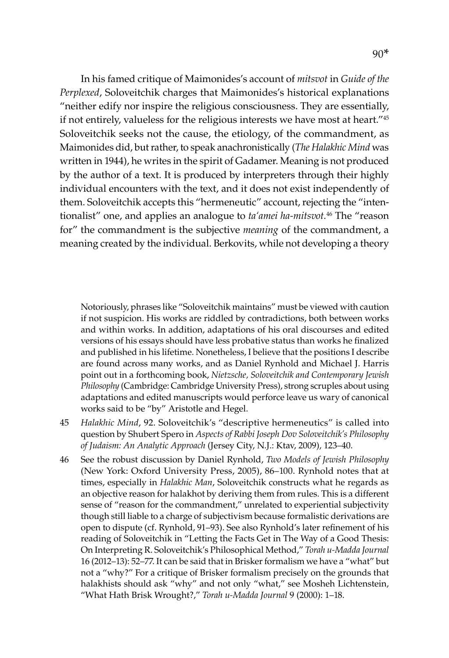In his famed critique of Maimonides's account of *mitsvot* in *Guide of the Perplexed*, Soloveitchik charges that Maimonides's historical explanations "neither edify nor inspire the religious consciousness. They are essentially, if not entirely, valueless for the religious interests we have most at heart."45 Soloveitchik seeks not the cause, the etiology, of the commandment, as Maimonides did, but rather, to speak anachronistically (*The Halakhic Mind* was written in 1944), he writes in the spirit of Gadamer. Meaning is not produced by the author of a text. It is produced by interpreters through their highly individual encounters with the text, and it does not exist independently of them. Soloveitchik accepts this "hermeneutic" account, rejecting the "intentionalist" one, and applies an analogue to *ta'amei ha-mitsvot.*46 The "reason for" the commandment is the subjective *meaning* of the commandment, a meaning created by the individual. Berkovits, while not developing a theory

Notoriously, phrases like "Soloveitchik maintains" must be viewed with caution if not suspicion. His works are riddled by contradictions, both between works and within works. In addition, adaptations of his oral discourses and edited versions of his essays should have less probative status than works he finalized and published in his lifetime. Nonetheless, I believe that the positions I describe are found across many works, and as Daniel Rynhold and Michael J. Harris point out in a forthcoming book, *Nietzsche, Soloveitchik and Contemporary Jewish Philosophy* (Cambridge: Cambridge University Press), strong scruples about using adaptations and edited manuscripts would perforce leave us wary of canonical works said to be "by" Aristotle and Hegel.

- 45 *Halakhic Mind*, 92. Soloveitchik's "descriptive hermeneutics" is called into question by Shubert Spero in *Aspects of Rabbi Joseph Dov Soloveitchik's Philosophy of Judaism: An Analytic Approach* (Jersey City, N.J.: Ktav, 2009), 123–40.
- 46 See the robust discussion by Daniel Rynhold, *Two Models of Jewish Philosophy* (New York: Oxford University Press, 2005), 86–100. Rynhold notes that at times, especially in *Halakhic Man*, Soloveitchik constructs what he regards as an objective reason for halakhot by deriving them from rules. This is a different sense of "reason for the commandment," unrelated to experiential subjectivity though still liable to a charge of subjectivism because formalistic derivations are open to dispute (cf. Rynhold, 91–93). See also Rynhold's later refinement of his reading of Soloveitchik in "Letting the Facts Get in The Way of a Good Thesis: On Interpreting R. Soloveitchik's Philosophical Method," *Torah u-Madda Journal* 16 (2012–13): 52–77. It can be said that in Brisker formalism we have a "what" but not a "why?" For a critique of Brisker formalism precisely on the grounds that halakhists should ask "why" and not only "what," see Mosheh Lichtenstein, "What Hath Brisk Wrought?," *Torah u-Madda Journal* 9 (2000): 1–18.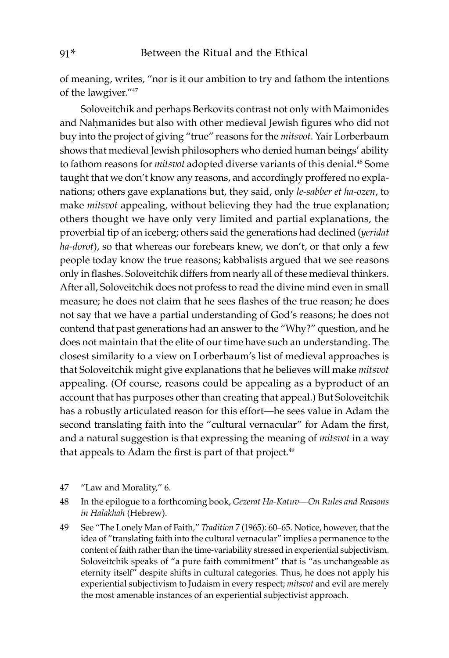of meaning, writes, "nor is it our ambition to try and fathom the intentions of the lawgiver."47

Soloveitchik and perhaps Berkovits contrast not only with Maimonides and Naḥmanides but also with other medieval Jewish figures who did not buy into the project of giving "true" reasons for the *mitsvot*. Yair Lorberbaum shows that medieval Jewish philosophers who denied human beings' ability to fathom reasons for *mitsvot* adopted diverse variants of this denial.<sup>48</sup> Some taught that we don't know any reasons, and accordingly proffered no explanations; others gave explanations but, they said, only *le-sabber et ha-ozen*, to make *mitsvot* appealing, without believing they had the true explanation; others thought we have only very limited and partial explanations, the proverbial tip of an iceberg; others said the generations had declined (*yeridat ha-dorot*), so that whereas our forebears knew, we don't, or that only a few people today know the true reasons; kabbalists argued that we see reasons only in flashes. Soloveitchik differs from nearly all of these medieval thinkers. After all, Soloveitchik does not profess to read the divine mind even in small measure; he does not claim that he sees flashes of the true reason; he does not say that we have a partial understanding of God's reasons; he does not contend that past generations had an answer to the "Why?" question, and he does not maintain that the elite of our time have such an understanding. The closest similarity to a view on Lorberbaum's list of medieval approaches is that Soloveitchik might give explanations that he believes will make *mitsvot* appealing. (Of course, reasons could be appealing as a byproduct of an account that has purposes other than creating that appeal.) But Soloveitchik has a robustly articulated reason for this effort—he sees value in Adam the second translating faith into the "cultural vernacular" for Adam the first, and a natural suggestion is that expressing the meaning of *mitsvot* in a way that appeals to Adam the first is part of that project.<sup>49</sup>

- 47 "Law and Morality," 6.
- 48 In the epilogue to a forthcoming book, *Gezerat Ha-Katuv—On Rules and Reasons in Halakhah* (Hebrew).
- 49 See "The Lonely Man of Faith*,*" *Tradition* 7 (1965): 60–65. Notice, however, that the idea of "translating faith into the cultural vernacular" implies a permanence to the content of faith rather than the time-variability stressed in experiential subjectivism. Soloveitchik speaks of "a pure faith commitment" that is "as unchangeable as eternity itself" despite shifts in cultural categories. Thus, he does not apply his experiential subjectivism to Judaism in every respect; *mitsvot* and evil are merely the most amenable instances of an experiential subjectivist approach.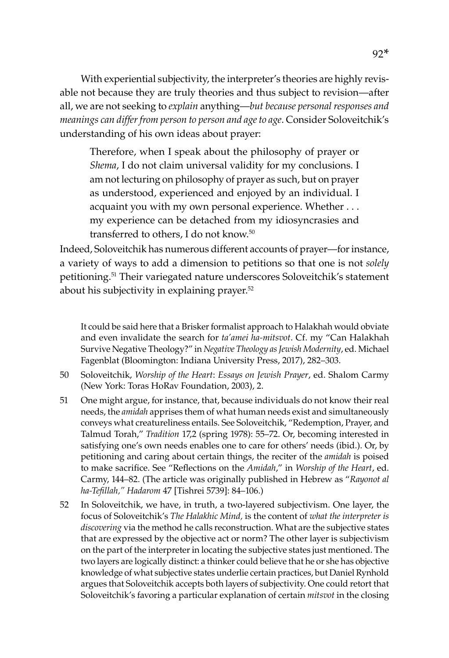With experiential subjectivity, the interpreter's theories are highly revisable not because they are truly theories and thus subject to revision—after all, we are not seeking to *explain* anything—*but because personal responses and meanings can differ from person to person and age to age*. Consider Soloveitchik's understanding of his own ideas about prayer:

Therefore, when I speak about the philosophy of prayer or *Shema*, I do not claim universal validity for my conclusions. I am not lecturing on philosophy of prayer as such, but on prayer as understood, experienced and enjoyed by an individual. I acquaint you with my own personal experience. Whether . . . my experience can be detached from my idiosyncrasies and transferred to others, I do not know.<sup>50</sup>

Indeed, Soloveitchik has numerous different accounts of prayer—for instance, a variety of ways to add a dimension to petitions so that one is not *solely* petitioning.51 Their variegated nature underscores Soloveitchik's statement about his subjectivity in explaining prayer.<sup>52</sup>

It could be said here that a Brisker formalist approach to Halakhah would obviate and even invalidate the search for *ta'amei ha-mitsvot*. Cf. my "Can Halakhah Survive Negative Theology?" in *Negative Theology as Jewish Modernity*, ed. Michael Fagenblat (Bloomington: Indiana University Press, 2017), 282–303.

- 50 Soloveitchik, *Worship of the Heart*: *Essays on Jewish Prayer*, ed. Shalom Carmy (New York: Toras HoRav Foundation, 2003), 2.
- 51 One might argue, for instance, that, because individuals do not know their real needs, the *amidah* apprises them of what human needs exist and simultaneously conveys what creatureliness entails. See Soloveitchik, "Redemption, Prayer, and Talmud Torah," *Tradition* 17,2 (spring 1978): 55–72. Or, becoming interested in satisfying one's own needs enables one to care for others' needs (ibid.). Or, by petitioning and caring about certain things, the reciter of the *amidah* is poised to make sacrifice. See "Reflections on the *Amidah*," in *Worship of the Heart*, ed. Carmy, 144–82. (The article was originally published in Hebrew as "*Rayonot al ha-Tefillah," Hadarom* 47 [Tishrei 5739]: 84–106.)
- 52 In Soloveitchik, we have, in truth, a two-layered subjectivism. One layer, the focus of Soloveitchik's *The Halakhic Mind,* is the content of *what the interpreter is discovering* via the method he calls reconstruction. What are the subjective states that are expressed by the objective act or norm? The other layer is subjectivism on the part of the interpreter in locating the subjective states just mentioned. The two layers are logically distinct: a thinker could believe that he or she has objective knowledge of what subjective states underlie certain practices, but Daniel Rynhold argues that Soloveitchik accepts both layers of subjectivity. One could retort that Soloveitchik's favoring a particular explanation of certain *mitsvot* in the closing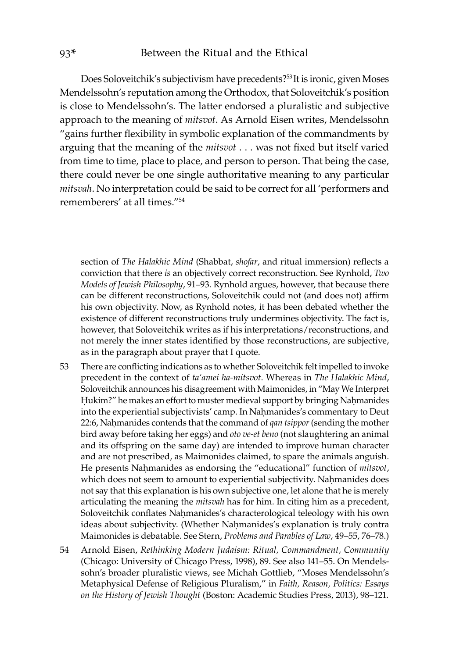Does Soloveitchik's subjectivism have precedents?<sup>53</sup>It is ironic, given Moses Mendelssohn's reputation among the Orthodox, that Soloveitchik's position is close to Mendelssohn's. The latter endorsed a pluralistic and subjective approach to the meaning of *mitsvot*. As Arnold Eisen writes, Mendelssohn "gains further flexibility in symbolic explanation of the commandments by arguing that the meaning of the *mitsvot* . . . was not fixed but itself varied from time to time, place to place, and person to person. That being the case, there could never be one single authoritative meaning to any particular *mitsvah*. No interpretation could be said to be correct for all 'performers and rememberers' at all times."54

section of *The Halakhic Mind* (Shabbat, *shofar*, and ritual immersion) reflects a conviction that there *is* an objectively correct reconstruction. See Rynhold, *Two Models of Jewish Philosophy*, 91–93. Rynhold argues, however, that because there can be different reconstructions, Soloveitchik could not (and does not) affirm his own objectivity. Now, as Rynhold notes, it has been debated whether the existence of different reconstructions truly undermines objectivity. The fact is, however, that Soloveitchik writes as if his interpretations/reconstructions, and not merely the inner states identified by those reconstructions, are subjective, as in the paragraph about prayer that I quote.

- 53 There are conflicting indications as to whether Soloveitchik felt impelled to invoke precedent in the context of *ta'amei ha-mitsvot*. Whereas in *The Halakhic Mind*, Soloveitchik announces his disagreement with Maimonides, in "May We Interpret Ḥukim?" he makes an effort to muster medieval support by bringing Naḥmanides into the experiential subjectivists' camp. In Nahmanides's commentary to Deut 22:6, Naḥmanides contends that the command of *qan tsippor* (sending the mother bird away before taking her eggs) and *oto ve-et beno* (not slaughtering an animal and its offspring on the same day) are intended to improve human character and are not prescribed, as Maimonides claimed, to spare the animals anguish. He presents Naḥmanides as endorsing the "educational" function of *mitsvot*, which does not seem to amount to experiential subjectivity. Nahmanides does not say that this explanation is his own subjective one, let alone that he is merely articulating the meaning the *mitsvah* has for him. In citing him as a precedent, Soloveitchik conflates Naḥmanides's characterological teleology with his own ideas about subjectivity. (Whether Nahmanides's explanation is truly contra Maimonides is debatable. See Stern, *Problems and Parables of Law*, 49–55, 76–78.)
- 54 Arnold Eisen, *Rethinking Modern Judaism: Ritual, Commandment, Community* (Chicago: University of Chicago Press, 1998), 89. See also 141–55. On Mendelssohn's broader pluralistic views, see Michah Gottlieb, "Moses Mendelssohn's Metaphysical Defense of Religious Pluralism," in *Faith, Reason, Politics: Essays on the History of Jewish Thought* (Boston: Academic Studies Press, 2013), 98–121.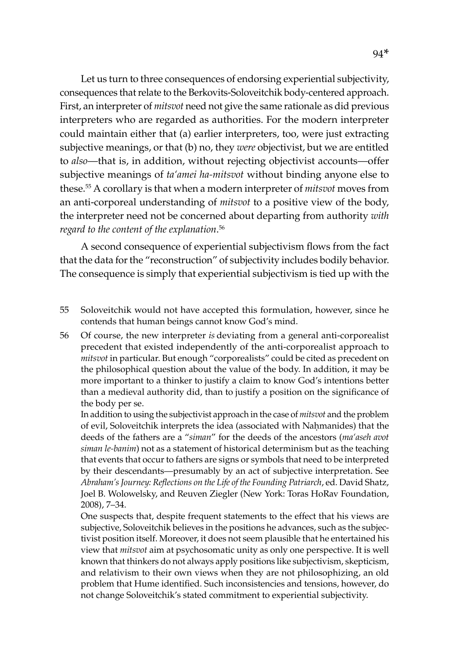Let us turn to three consequences of endorsing experiential subjectivity, consequences that relate to the Berkovits-Soloveitchik body-centered approach. First, an interpreter of *mitsvot* need not give the same rationale as did previous interpreters who are regarded as authorities. For the modern interpreter could maintain either that (a) earlier interpreters, too, were just extracting subjective meanings, or that (b) no, they *were* objectivist, but we are entitled to *also*—that is, in addition, without rejecting objectivist accounts—offer subjective meanings of *ta'amei ha-mitsvot* without binding anyone else to these.55 A corollary is that when a modern interpreter of *mitsvot* moves from an anti-corporeal understanding of *mitsvot* to a positive view of the body, the interpreter need not be concerned about departing from authority *with regard to the content of the explanation*. 56

A second consequence of experiential subjectivism flows from the fact that the data for the "reconstruction" of subjectivity includes bodily behavior. The consequence is simply that experiential subjectivism is tied up with the

- 55 Soloveitchik would not have accepted this formulation, however, since he contends that human beings cannot know God's mind.
- 56 Of course, the new interpreter *is* deviating from a general anti-corporealist precedent that existed independently of the anti-corporealist approach to *mitsvot* in particular. But enough "corporealists" could be cited as precedent on the philosophical question about the value of the body. In addition, it may be more important to a thinker to justify a claim to know God's intentions better than a medieval authority did, than to justify a position on the significance of the body per se.

In addition to using the subjectivist approach in the case of *mitsvot* and the problem of evil, Soloveitchik interprets the idea (associated with Naḥmanides) that the deeds of the fathers are a "*siman*" for the deeds of the ancestors (*ma'aseh avot siman le-banim*) not as a statement of historical determinism but as the teaching that events that occur to fathers are signs or symbols that need to be interpreted by their descendants—presumably by an act of subjective interpretation. See *Abraham's Journey: Reflections on the Life of the Founding Patriarch*, ed. David Shatz, Joel B. Wolowelsky, and Reuven Ziegler (New York: Toras HoRav Foundation, 2008), 7–34.

One suspects that, despite frequent statements to the effect that his views are subjective, Soloveitchik believes in the positions he advances, such as the subjectivist position itself. Moreover, it does not seem plausible that he entertained his view that *mitsvot* aim at psychosomatic unity as only one perspective. It is well known that thinkers do not always apply positions like subjectivism, skepticism, and relativism to their own views when they are not philosophizing, an old problem that Hume identified. Such inconsistencies and tensions, however, do not change Soloveitchik's stated commitment to experiential subjectivity.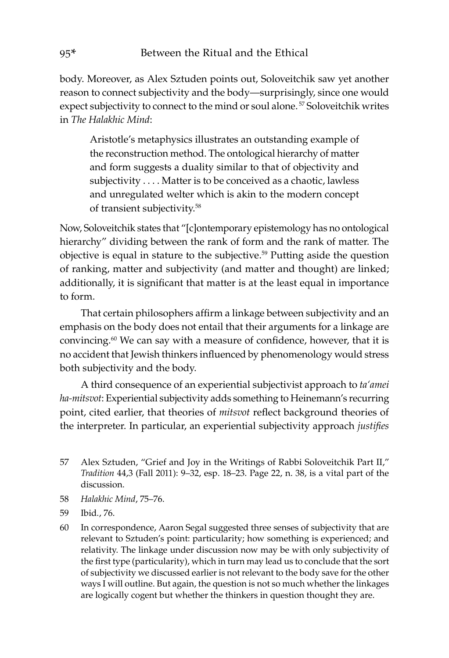body. Moreover, as Alex Sztuden points out, Soloveitchik saw yet another reason to connect subjectivity and the body—surprisingly, since one would expect subjectivity to connect to the mind or soul alone.<sup>57</sup> Soloveitchik writes in *The Halakhic Mind*:

Aristotle's metaphysics illustrates an outstanding example of the reconstruction method. The ontological hierarchy of matter and form suggests a duality similar to that of objectivity and subjectivity . . . . Matter is to be conceived as a chaotic, lawless and unregulated welter which is akin to the modern concept of transient subjectivity.<sup>58</sup>

Now, Soloveitchik states that "[c]ontemporary epistemology has no ontological hierarchy" dividing between the rank of form and the rank of matter. The objective is equal in stature to the subjective.59 Putting aside the question of ranking, matter and subjectivity (and matter and thought) are linked; additionally, it is significant that matter is at the least equal in importance to form.

That certain philosophers affirm a linkage between subjectivity and an emphasis on the body does not entail that their arguments for a linkage are convincing.<sup>60</sup> We can say with a measure of confidence, however, that it is no accident that Jewish thinkers influenced by phenomenology would stress both subjectivity and the body.

A third consequence of an experiential subjectivist approach to *ta'amei ha-mitsvot*: Experiential subjectivity adds something to Heinemann's recurring point, cited earlier, that theories of *mitsvot* reflect background theories of the interpreter. In particular, an experiential subjectivity approach *justifies*

- 57 Alex Sztuden, "Grief and Joy in the Writings of Rabbi Soloveitchik Part II," *Tradition* 44,3 (Fall 2011): 9–32, esp. 18–23. Page 22, n. 38, is a vital part of the discussion.
- 58 *Halakhic Mind*, 75–76.
- 59 Ibid*.*, 76.
- 60 In correspondence, Aaron Segal suggested three senses of subjectivity that are relevant to Sztuden's point: particularity; how something is experienced; and relativity. The linkage under discussion now may be with only subjectivity of the first type (particularity), which in turn may lead us to conclude that the sort of subjectivity we discussed earlier is not relevant to the body save for the other ways I will outline. But again, the question is not so much whether the linkages are logically cogent but whether the thinkers in question thought they are.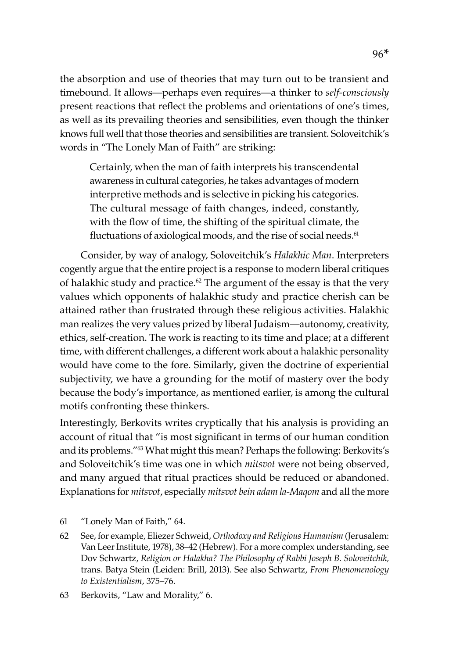the absorption and use of theories that may turn out to be transient and timebound. It allows—perhaps even requires—a thinker to *self-consciously* present reactions that reflect the problems and orientations of one's times, as well as its prevailing theories and sensibilities, even though the thinker knows full well that those theories and sensibilities are transient. Soloveitchik's words in "The Lonely Man of Faith" are striking:

Certainly, when the man of faith interprets his transcendental awareness in cultural categories, he takes advantages of modern interpretive methods and is selective in picking his categories. The cultural message of faith changes, indeed, constantly, with the flow of time, the shifting of the spiritual climate, the fluctuations of axiological moods, and the rise of social needs.<sup>61</sup>

Consider, by way of analogy, Soloveitchik's *Halakhic Man*. Interpreters cogently argue that the entire project is a response to modern liberal critiques of halakhic study and practice.<sup>62</sup> The argument of the essay is that the very values which opponents of halakhic study and practice cherish can be attained rather than frustrated through these religious activities. Halakhic man realizes the very values prized by liberal Judaism—autonomy, creativity, ethics, self-creation. The work is reacting to its time and place; at a different time, with different challenges, a different work about a halakhic personality would have come to the fore. Similarly**,** given the doctrine of experiential subjectivity, we have a grounding for the motif of mastery over the body because the body's importance, as mentioned earlier, is among the cultural motifs confronting these thinkers.

Interestingly, Berkovits writes cryptically that his analysis is providing an account of ritual that "is most significant in terms of our human condition and its problems."63 What might this mean? Perhaps the following: Berkovits's and Soloveitchik's time was one in which *mitsvot* were not being observed, and many argued that ritual practices should be reduced or abandoned. Explanations for *mitsvot*, especially *mitsvot bein adam la-Maqom* and all the more

- 61 "Lonely Man of Faith," 64.
- 62 See, for example, Eliezer Schweid, *Orthodoxy and Religious Humanism* (Jerusalem: Van Leer Institute, 1978), 38–42 (Hebrew). For a more complex understanding, see Dov Schwartz, *Religion or Halakha? The Philosophy of Rabbi Joseph B. Soloveitchik,*  trans. Batya Stein (Leiden: Brill, 2013). See also Schwartz, *From Phenomenology to Existentialism*, 375–76.
- 63 Berkovits, "Law and Morality," 6.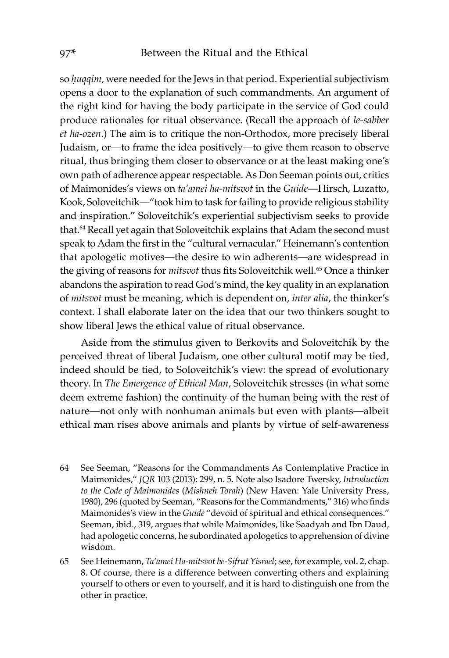so *huqqim*, were needed for the Jews in that period. Experiential subjectivism opens a door to the explanation of such commandments. An argument of the right kind for having the body participate in the service of God could produce rationales for ritual observance. (Recall the approach of *le-sabber et ha-ozen*.) The aim is to critique the non-Orthodox, more precisely liberal Judaism, or—to frame the idea positively—to give them reason to observe ritual, thus bringing them closer to observance or at the least making one's own path of adherence appear respectable. As Don Seeman points out, critics of Maimonides's views on *ta'amei ha-mitsvot* in the *Guide*—Hirsch, Luzatto, Kook, Soloveitchik—"took him to task for failing to provide religious stability and inspiration." Soloveitchik's experiential subjectivism seeks to provide that.<sup>64</sup> Recall yet again that Soloveitchik explains that Adam the second must speak to Adam the first in the "cultural vernacular." Heinemann's contention that apologetic motives—the desire to win adherents—are widespread in the giving of reasons for *mitsvot* thus fits Soloveitchik well.<sup>65</sup> Once a thinker abandons the aspiration to read God's mind, the key quality in an explanation of *mitsvot* must be meaning, which is dependent on, *inter alia*, the thinker's context. I shall elaborate later on the idea that our two thinkers sought to show liberal Jews the ethical value of ritual observance.

Aside from the stimulus given to Berkovits and Soloveitchik by the perceived threat of liberal Judaism, one other cultural motif may be tied, indeed should be tied, to Soloveitchik's view: the spread of evolutionary theory. In *The Emergence of Ethical Man*, Soloveitchik stresses (in what some deem extreme fashion) the continuity of the human being with the rest of nature—not only with nonhuman animals but even with plants—albeit ethical man rises above animals and plants by virtue of self-awareness

- 64 See Seeman, "Reasons for the Commandments As Contemplative Practice in Maimonides," *JQR* 103 (2013): 299, n. 5. Note also Isadore Twersky, *Introduction to the Code of Maimonides* (*Mishneh Torah*) (New Haven: Yale University Press, 1980), 296 (quoted by Seeman, "Reasons for the Commandments," 316) who finds Maimonides's view in the *Guide* "devoid of spiritual and ethical consequences." Seeman, ibid., 319, argues that while Maimonides, like Saadyah and Ibn Daud, had apologetic concerns, he subordinated apologetics to apprehension of divine wisdom.
- 65 See Heinemann, *Ta'amei Ha-mitsvot be-Sifrut Yisrael*; see, for example, vol. 2, chap. 8. Of course, there is a difference between converting others and explaining yourself to others or even to yourself, and it is hard to distinguish one from the other in practice.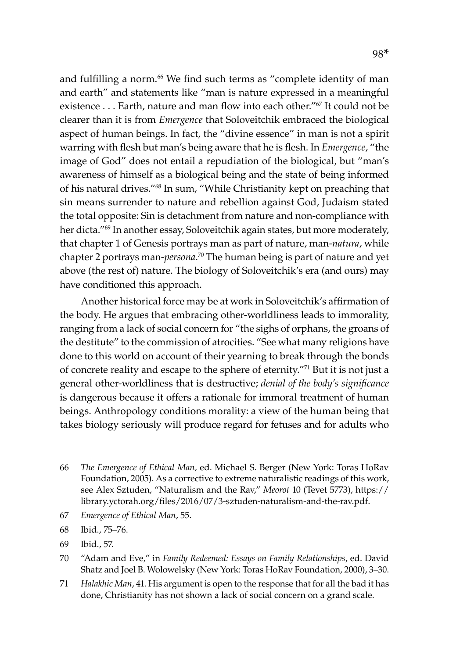and fulfilling a norm.<sup>66</sup> We find such terms as "complete identity of man and earth" and statements like "man is nature expressed in a meaningful existence . . . Earth, nature and man flow into each other."<sup>67</sup> It could not be clearer than it is from *Emergence* that Soloveitchik embraced the biological aspect of human beings. In fact, the "divine essence" in man is not a spirit warring with flesh but man's being aware that he is flesh. In *Emergence*, "the image of God" does not entail a repudiation of the biological, but "man's awareness of himself as a biological being and the state of being informed of his natural drives."68 In sum, "While Christianity kept on preaching that sin means surrender to nature and rebellion against God, Judaism stated the total opposite: Sin is detachment from nature and non-compliance with her dicta."<sup>69</sup> In another essay, Soloveitchik again states, but more moderately, that chapter 1 of Genesis portrays man as part of nature, man-*natura*, while chapter 2 portrays man-*persona*. 70 The human being is part of nature and yet above (the rest of) nature. The biology of Soloveitchik's era (and ours) may have conditioned this approach.

Another historical force may be at work in Soloveitchik's affirmation of the body. He argues that embracing other-worldliness leads to immorality, ranging from a lack of social concern for "the sighs of orphans, the groans of the destitute" to the commission of atrocities. "See what many religions have done to this world on account of their yearning to break through the bonds of concrete reality and escape to the sphere of eternity."71 But it is not just a general other-worldliness that is destructive; *denial of the body's significance* is dangerous because it offers a rationale for immoral treatment of human beings. Anthropology conditions morality: a view of the human being that takes biology seriously will produce regard for fetuses and for adults who

- 66 *The Emergence of Ethical Man,* ed. Michael S. Berger (New York: Toras HoRav Foundation, 2005). As a corrective to extreme naturalistic readings of this work, see Alex Sztuden, "Naturalism and the Rav," *Meorot* 10 (Tevet 5773), https:// library.yctorah.org/files/2016/07/3-sztuden-naturalism-and-the-rav.pdf.
- 67 *Emergence of Ethical Man*, 55.
- 68 Ibid., 75–76.
- 69 Ibid., 57.
- 70 "Adam and Eve," in *Family Redeemed: Essays on Family Relationships*, ed. David Shatz and Joel B. Wolowelsky (New York: Toras HoRav Foundation, 2000), 3–30.
- 71 *Halakhic Man*, 41. His argument is open to the response that for all the bad it has done, Christianity has not shown a lack of social concern on a grand scale.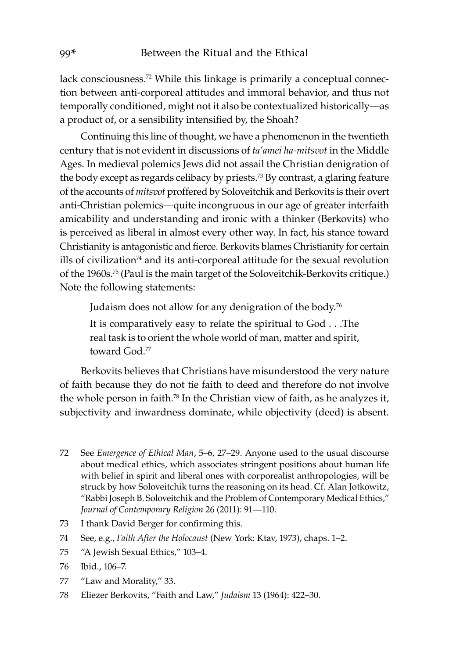lack consciousness.<sup>72</sup> While this linkage is primarily a conceptual connection between anti-corporeal attitudes and immoral behavior, and thus not temporally conditioned, might not it also be contextualized historically—as a product of, or a sensibility intensified by, the Shoah?

Continuing this line of thought, we have a phenomenon in the twentieth century that is not evident in discussions of *ta'amei ha-mitsvot* in the Middle Ages. In medieval polemics Jews did not assail the Christian denigration of the body except as regards celibacy by priests.<sup>73</sup> By contrast, a glaring feature of the accounts of *mitsvot* proffered by Soloveitchik and Berkovits is their overt anti-Christian polemics—quite incongruous in our age of greater interfaith amicability and understanding and ironic with a thinker (Berkovits) who is perceived as liberal in almost every other way. In fact, his stance toward Christianity is antagonistic and fierce. Berkovits blames Christianity for certain ills of civilization<sup>74</sup> and its anti-corporeal attitude for the sexual revolution of the 1960s.75 (Paul is the main target of the Soloveitchik-Berkovits critique.) Note the following statements:

Judaism does not allow for any denigration of the body.76

It is comparatively easy to relate the spiritual to God . . .The real task is to orient the whole world of man, matter and spirit, toward God<sup>77</sup>

Berkovits believes that Christians have misunderstood the very nature of faith because they do not tie faith to deed and therefore do not involve the whole person in faith.<sup>78</sup> In the Christian view of faith, as he analyzes it, subjectivity and inwardness dominate, while objectivity (deed) is absent.

- 72 See *Emergence of Ethical Man*, 5–6, 27–29. Anyone used to the usual discourse about medical ethics, which associates stringent positions about human life with belief in spirit and liberal ones with corporealist anthropologies, will be struck by how Soloveitchik turns the reasoning on its head. Cf. Alan Jotkowitz, "Rabbi Joseph B. Soloveitchik and the Problem of Contemporary Medical Ethics," *Journal of Contemporary Religion* 26 (2011): 91—110.
- 73 I thank David Berger for confirming this.
- 74 See, e.g., *Faith After the Holocaust* (New York: Ktav, 1973), chaps. 1–2.
- 75 "A Jewish Sexual Ethics," 103–4.
- 76 Ibid., 106–7.
- 77 "Law and Morality," 33.
- 78 Eliezer Berkovits, "Faith and Law," *Judaism* 13 (1964): 422–30.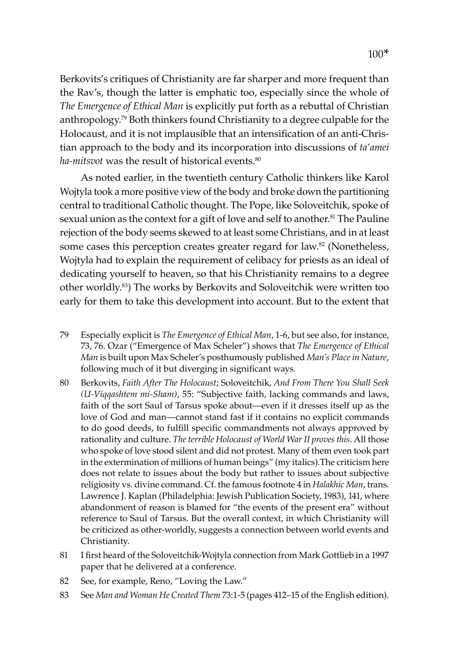Berkovits's critiques of Christianity are far sharper and more frequent than the Rav's, though the latter is emphatic too, especially since the whole of *The Emergence of Ethical Man* is explicitly put forth as a rebuttal of Christian anthropology.79 Both thinkers found Christianity to a degree culpable for the Holocaust, and it is not implausible that an intensification of an anti-Christian approach to the body and its incorporation into discussions of *ta'amei*  ha-mitsvot was the result of historical events.<sup>80</sup>

As noted earlier, in the twentieth century Catholic thinkers like Karol Wojtyla took a more positive view of the body and broke down the partitioning central to traditional Catholic thought. The Pope, like Soloveitchik, spoke of sexual union as the context for a gift of love and self to another.<sup>81</sup> The Pauline rejection of the body seems skewed to at least some Christians, and in at least some cases this perception creates greater regard for law.<sup>82</sup> (Nonetheless, Wojtyla had to explain the requirement of celibacy for priests as an ideal of dedicating yourself to heaven, so that his Christianity remains to a degree other worldly.83) The works by Berkovits and Soloveitchik were written too early for them to take this development into account. But to the extent that

- 79 Especially explicit is *The Emergence of Ethical Man*, 1-6, but see also, for instance, 73, 76. Ozar ("Emergence of Max Scheler") shows that *The Emergence of Ethical Man* is built upon Max Scheler's posthumously published *Man's Place in Nature*, following much of it but diverging in significant ways*.*
- 80 Berkovits, *Faith After The Holocaust*; Soloveitchik, *And From There You Shall Seek (U-Viqqashtem mi-Sham)*, 55: "Subjective faith, lacking commands and laws, faith of the sort Saul of Tarsus spoke about—even if it dresses itself up as the love of God and man—cannot stand fast if it contains no explicit commands to do good deeds, to fulfill specific commandments not always approved by rationality and culture. *The terrible Holocaust of World War II proves this*. All those who spoke of love stood silent and did not protest. Many of them even took part in the extermination of millions of human beings" (my italics).The criticism here does not relate to issues about the body but rather to issues about subjective religiosity vs. divine command. Cf. the famous footnote 4 in *Halakhic Man*, trans. Lawrence J. Kaplan (Philadelphia: Jewish Publication Society, 1983), 141, where abandonment of reason is blamed for "the events of the present era" without reference to Saul of Tarsus. But the overall context, in which Christianity will be criticized as other-worldly, suggests a connection between world events and Christianity.
- 81 I first heard of the Soloveitchik-Wojtyla connection from Mark Gottlieb in a 1997 paper that he delivered at a conference.
- 82 See, for example, Reno, "Loving the Law."
- 83 See *Man and Woman He Created Them* 73:1-5 (pages 412–15 of the English edition).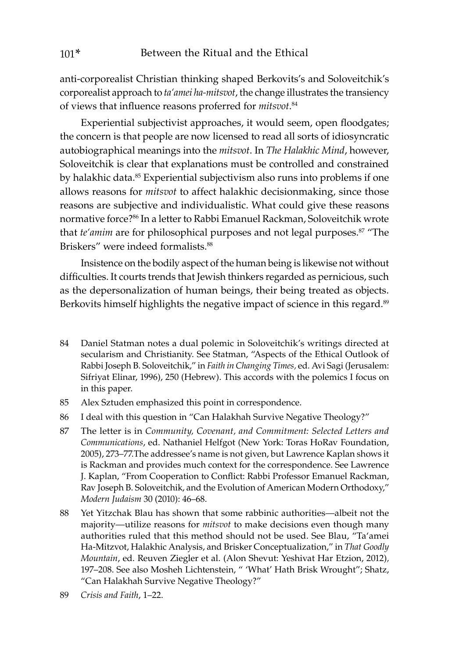anti-corporealist Christian thinking shaped Berkovits's and Soloveitchik's corporealist approach to *ta'amei ha-mitsvot*, the change illustrates the transiency of views that influence reasons proferred for *mitsvot*. 84

Experiential subjectivist approaches, it would seem, open floodgates; the concern is that people are now licensed to read all sorts of idiosyncratic autobiographical meanings into the *mitsvot*. In *The Halakhic Mind*, however, Soloveitchik is clear that explanations must be controlled and constrained by halakhic data.<sup>85</sup> Experiential subjectivism also runs into problems if one allows reasons for *mitsvot* to affect halakhic decisionmaking, since those reasons are subjective and individualistic. What could give these reasons normative force?<sup>86</sup> In a letter to Rabbi Emanuel Rackman, Soloveitchik wrote that *te'amim* are for philosophical purposes and not legal purposes.87 "The Briskers" were indeed formalists.<sup>88</sup>

Insistence on the bodily aspect of the human being is likewise not without difficulties. It courts trends that Jewish thinkers regarded as pernicious, such as the depersonalization of human beings, their being treated as objects. Berkovits himself highlights the negative impact of science in this regard.<sup>89</sup>

- 84 Daniel Statman notes a dual polemic in Soloveitchik's writings directed at secularism and Christianity. See Statman, "Aspects of the Ethical Outlook of Rabbi Joseph B. Soloveitchik," in *Faith in Changing Times,* ed. Avi Sagi (Jerusalem: Sifriyat Elinar, 1996), 250 (Hebrew). This accords with the polemics I focus on in this paper.
- 85 Alex Sztuden emphasized this point in correspondence.
- 86 I deal with this question in "Can Halakhah Survive Negative Theology?"
- 87 The letter is in *Community, Covenant, and Commitment: Selected Letters and Communications*, ed. Nathaniel Helfgot (New York: Toras HoRav Foundation, 2005), 273–77.The addressee's name is not given, but Lawrence Kaplan shows it is Rackman and provides much context for the correspondence. See Lawrence J. Kaplan, "From Cooperation to Conflict: Rabbi Professor Emanuel Rackman, Rav Joseph B. Soloveitchik, and the Evolution of American Modern Orthodoxy," *Modern Judaism* 30 (2010): 46–68.
- 88 Yet Yitzchak Blau has shown that some rabbinic authorities—albeit not the majority—utilize reasons for *mitsvot* to make decisions even though many authorities ruled that this method should not be used. See Blau, "Ta'amei Ha-Mitzvot, Halakhic Analysis, and Brisker Conceptualization," in *That Goodly Mountain*, ed. Reuven Ziegler et al. (Alon Shevut: Yeshivat Har Etzion, 2012)*,*  197–208. See also Mosheh Lichtenstein, " 'What' Hath Brisk Wrought"; Shatz, "Can Halakhah Survive Negative Theology?"
- 89 *Crisis and Faith*, 1–22.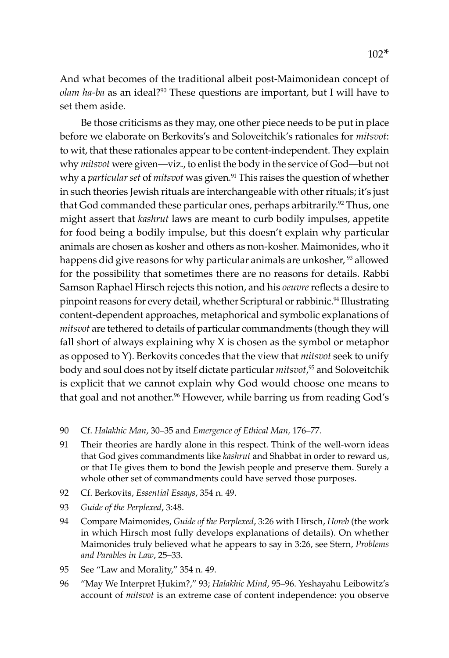And what becomes of the traditional albeit post-Maimonidean concept of *olam ha-ba* as an ideal?90 These questions are important, but I will have to set them aside.

Be those criticisms as they may, one other piece needs to be put in place before we elaborate on Berkovits's and Soloveitchik's rationales for *mitsvot*: to wit, that these rationales appear to be content-independent. They explain why *mitsvot* were given—viz., to enlist the body in the service of God—but not why a *particular set* of *mitsvot* was given.<sup>91</sup> This raises the question of whether in such theories Jewish rituals are interchangeable with other rituals; it's just that God commanded these particular ones, perhaps arbitrarily.<sup>92</sup> Thus, one might assert that *kashrut* laws are meant to curb bodily impulses, appetite for food being a bodily impulse, but this doesn't explain why particular animals are chosen as kosher and others as non-kosher. Maimonides, who it happens did give reasons for why particular animals are unkosher, <sup>93</sup> allowed for the possibility that sometimes there are no reasons for details. Rabbi Samson Raphael Hirsch rejects this notion, and his *oeuvre* reflects a desire to pinpoint reasons for every detail, whether Scriptural or rabbinic.<sup>94</sup> Illustrating content-dependent approaches, metaphorical and symbolic explanations of *mitsvot* are tethered to details of particular commandments (though they will fall short of always explaining why X is chosen as the symbol or metaphor as opposed to Y). Berkovits concedes that the view that *mitsvot* seek to unify body and soul does not by itself dictate particular *mitsvot*, 95 and Soloveitchik is explicit that we cannot explain why God would choose one means to that goal and not another.<sup>96</sup> However, while barring us from reading God's

- 90 Cf. *Halakhic Man*, 30–35 and *Emergence of Ethical Man,* 176–77*.*
- 91 Their theories are hardly alone in this respect. Think of the well-worn ideas that God gives commandments like *kashrut* and Shabbat in order to reward us, or that He gives them to bond the Jewish people and preserve them. Surely a whole other set of commandments could have served those purposes.
- 92 Cf. Berkovits, *Essential Essays*, 354 n. 49.
- 93 *Guide of the Perplexed*, 3:48.
- 94 Compare Maimonides, *Guide of the Perplexed*, 3:26 with Hirsch, *Horeb* (the work in which Hirsch most fully develops explanations of details). On whether Maimonides truly believed what he appears to say in 3:26, see Stern, *Problems and Parables in Law*, 25–33.
- 95 See "Law and Morality," 354 n. 49.
- 96 "May We Interpret Ḥukim?," 93; *Halakhic Mind*, 95–96. Yeshayahu Leibowitz's account of *mitsvot* is an extreme case of content independence: you observe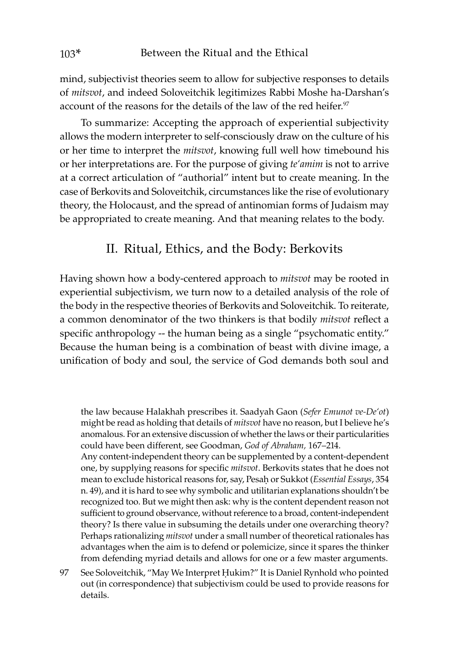mind, subjectivist theories seem to allow for subjective responses to details of *mitsvot*, and indeed Soloveitchik legitimizes Rabbi Moshe ha-Darshan's account of the reasons for the details of the law of the red heifer.<sup>97</sup>

To summarize: Accepting the approach of experiential subjectivity allows the modern interpreter to self-consciously draw on the culture of his or her time to interpret the *mitsvot*, knowing full well how timebound his or her interpretations are. For the purpose of giving *te'amim* is not to arrive at a correct articulation of "authorial" intent but to create meaning. In the case of Berkovits and Soloveitchik, circumstances like the rise of evolutionary theory, the Holocaust, and the spread of antinomian forms of Judaism may be appropriated to create meaning. And that meaning relates to the body.

### II. Ritual, Ethics, and the Body: Berkovits

Having shown how a body-centered approach to *mitsvot* may be rooted in experiential subjectivism, we turn now to a detailed analysis of the role of the body in the respective theories of Berkovits and Soloveitchik. To reiterate, a common denominator of the two thinkers is that bodily *mitsvot* reflect a specific anthropology -- the human being as a single "psychomatic entity." Because the human being is a combination of beast with divine image, a unification of body and soul, the service of God demands both soul and

the law because Halakhah prescribes it. Saadyah Gaon (*Sefer Emunot ve-De'ot*) might be read as holding that details of *mitsvot* have no reason, but I believe he's anomalous. For an extensive discussion of whether the laws or their particularities could have been different, see Goodman, *God of Abraham,* 167–214.

Any content-independent theory can be supplemented by a content-dependent one, by supplying reasons for specific *mitsvot*. Berkovits states that he does not mean to exclude historical reasons for, say, Pesaḥ or Sukkot (*Essential Essays*, 354 n. 49), and it is hard to see why symbolic and utilitarian explanations shouldn't be recognized too. But we might then ask: why is the content dependent reason not sufficient to ground observance, without reference to a broad, content-independent theory? Is there value in subsuming the details under one overarching theory? Perhaps rationalizing *mitsvot* under a small number of theoretical rationales has advantages when the aim is to defend or polemicize, since it spares the thinker from defending myriad details and allows for one or a few master arguments.

97 See Soloveitchik, "May We Interpret Ḥukim?" It is Daniel Rynhold who pointed out (in correspondence) that subjectivism could be used to provide reasons for details.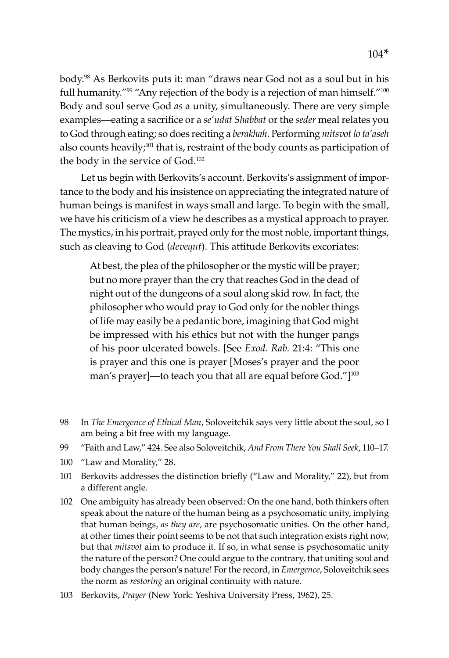body.98 As Berkovits puts it: man "draws near God not as a soul but in his full humanity."<sup>99</sup> "Any rejection of the body is a rejection of man himself."<sup>100</sup> Body and soul serve God *as* a unity, simultaneously. There are very simple examples—eating a sacrifice or a *se'udat Shabbat* or the *seder* meal relates you to God through eating; so does reciting a *berakhah*. Performing *mitsvot lo ta'aseh* also counts heavily;<sup>101</sup> that is, restraint of the body counts as participation of the body in the service of God.<sup>102</sup>

Let us begin with Berkovits's account. Berkovits's assignment of importance to the body and his insistence on appreciating the integrated nature of human beings is manifest in ways small and large. To begin with the small, we have his criticism of a view he describes as a mystical approach to prayer. The mystics, in his portrait, prayed only for the most noble, important things, such as cleaving to God (*devequt*). This attitude Berkovits excoriates:

At best, the plea of the philosopher or the mystic will be prayer; but no more prayer than the cry that reaches God in the dead of night out of the dungeons of a soul along skid row. In fact, the philosopher who would pray to God only for the nobler things of life may easily be a pedantic bore, imagining that God might be impressed with his ethics but not with the hunger pangs of his poor ulcerated bowels. [See *Exod. Rab.* 21:4: "This one is prayer and this one is prayer [Moses's prayer and the poor man's prayer]—to teach you that all are equal before God."]<sup>103</sup>

- 98 In *The Emergence of Ethical Man*, Soloveitchik says very little about the soul, so I am being a bit free with my language.
- 99 "Faith and Law," 424. See also Soloveitchik, *And From There You Shall Seek*, 110–17.
- 100 "Law and Morality," 28.
- 101 Berkovits addresses the distinction briefly ("Law and Morality," 22), but from a different angle.
- 102 One ambiguity has already been observed: On the one hand, both thinkers often speak about the nature of the human being as a psychosomatic unity, implying that human beings, *as they are*, are psychosomatic unities. On the other hand, at other times their point seems to be not that such integration exists right now, but that *mitsvot* aim to produce it. If so, in what sense is psychosomatic unity the nature of the person? One could argue to the contrary, that uniting soul and body changes the person's nature! For the record, in *Emergence*, Soloveitchik sees the norm as *restoring* an original continuity with nature.
- 103 Berkovits, *Prayer* (New York: Yeshiva University Press, 1962), 25.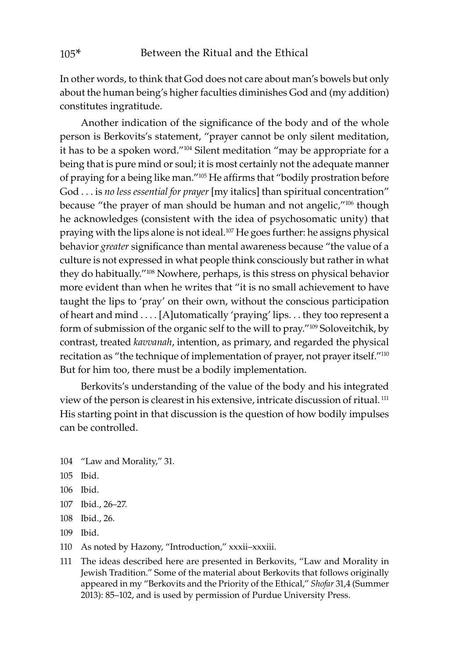In other words, to think that God does not care about man's bowels but only about the human being's higher faculties diminishes God and (my addition) constitutes ingratitude.

Another indication of the significance of the body and of the whole person is Berkovits's statement, "prayer cannot be only silent meditation, it has to be a spoken word."104 Silent meditation "may be appropriate for a being that is pure mind or soul; it is most certainly not the adequate manner of praying for a being like man."105 He affirms that "bodily prostration before God . . . is *no less essential for prayer* [my italics] than spiritual concentration" because "the prayer of man should be human and not angelic,"<sup>106</sup> though he acknowledges (consistent with the idea of psychosomatic unity) that praying with the lips alone is not ideal.<sup>107</sup> He goes further: he assigns physical behavior *greater* significance than mental awareness because "the value of a culture is not expressed in what people think consciously but rather in what they do habitually."108 Nowhere, perhaps, is this stress on physical behavior more evident than when he writes that "it is no small achievement to have taught the lips to 'pray' on their own, without the conscious participation of heart and mind . . . . [A]utomatically 'praying' lips. . . they too represent a form of submission of the organic self to the will to pray."109 Soloveitchik, by contrast, treated *kavvanah*, intention, as primary, and regarded the physical recitation as "the technique of implementation of prayer, not prayer itself."110 But for him too, there must be a bodily implementation.

Berkovits's understanding of the value of the body and his integrated view of the person is clearest in his extensive, intricate discussion of ritual. <sup>111</sup> His starting point in that discussion is the question of how bodily impulses can be controlled.

- 104 "Law and Morality," 31.
- 105 Ibid.
- 106 Ibid.
- 107 Ibid., 26–27.
- 108 Ibid., 26.
- 109 Ibid.
- 110 As noted by Hazony, "Introduction," xxxii–xxxiii.
- 111 The ideas described here are presented in Berkovits, "Law and Morality in Jewish Tradition." Some of the material about Berkovits that follows originally appeared in my "Berkovits and the Priority of the Ethical," *Shofar* 31,4 (Summer 2013): 85–102, and is used by permission of Purdue University Press.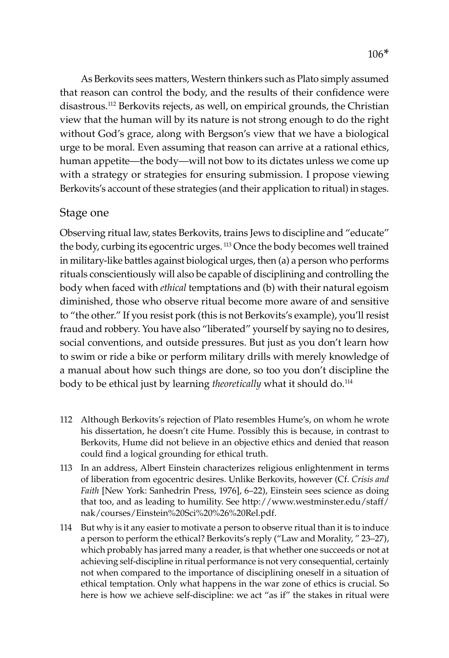As Berkovits sees matters, Western thinkers such as Plato simply assumed that reason can control the body, and the results of their confidence were disastrous.112 Berkovits rejects, as well, on empirical grounds, the Christian view that the human will by its nature is not strong enough to do the right without God's grace, along with Bergson's view that we have a biological urge to be moral. Even assuming that reason can arrive at a rational ethics, human appetite—the body—will not bow to its dictates unless we come up with a strategy or strategies for ensuring submission. I propose viewing Berkovits's account of these strategies (and their application to ritual) in stages.

#### Stage one

Observing ritual law, states Berkovits, trains Jews to discipline and "educate" the body, curbing its egocentric urges. 113 Once the body becomes well trained in military-like battles against biological urges, then (a) a person who performs rituals conscientiously will also be capable of disciplining and controlling the body when faced with *ethical* temptations and (b) with their natural egoism diminished, those who observe ritual become more aware of and sensitive to "the other." If you resist pork (this is not Berkovits's example), you'll resist fraud and robbery. You have also "liberated" yourself by saying no to desires, social conventions, and outside pressures. But just as you don't learn how to swim or ride a bike or perform military drills with merely knowledge of a manual about how such things are done, so too you don't discipline the body to be ethical just by learning *theoretically* what it should do.114

- 112 Although Berkovits's rejection of Plato resembles Hume's, on whom he wrote his dissertation, he doesn't cite Hume. Possibly this is because, in contrast to Berkovits, Hume did not believe in an objective ethics and denied that reason could find a logical grounding for ethical truth.
- 113 In an address, Albert Einstein characterizes religious enlightenment in terms of liberation from egocentric desires. Unlike Berkovits, however (Cf. *Crisis and Faith* [New York: Sanhedrin Press, 1976], 6–22), Einstein sees science as doing that too, and as leading to humility. See http://www.westminster.edu/staff/ nak/courses/Einstein%20Sci%20%26%20Rel.pdf.
- 114 But why is it any easier to motivate a person to observe ritual than it is to induce a person to perform the ethical? Berkovits's reply ("Law and Morality, " 23–27), which probably has jarred many a reader, is that whether one succeeds or not at achieving self-discipline in ritual performance is not very consequential, certainly not when compared to the importance of disciplining oneself in a situation of ethical temptation. Only what happens in the war zone of ethics is crucial. So here is how we achieve self-discipline: we act "as if" the stakes in ritual were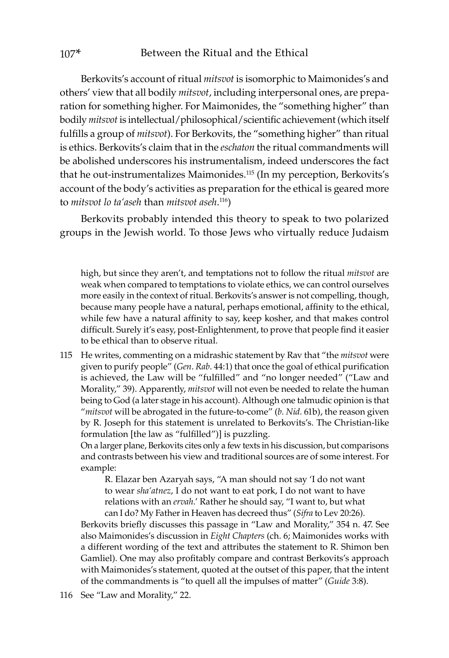Berkovits's account of ritual *mitsvot* is isomorphic to Maimonides's and others' view that all bodily *mitsvot*, including interpersonal ones, are preparation for something higher. For Maimonides, the "something higher" than bodily *mitsvot* is intellectual/philosophical/scientific achievement (which itself fulfills a group of *mitsvot*). For Berkovits, the "something higher" than ritual is ethics. Berkovits's claim that in the *eschaton* the ritual commandments will be abolished underscores his instrumentalism, indeed underscores the fact that he out-instrumentalizes Maimonides.115 (In my perception, Berkovits's account of the body's activities as preparation for the ethical is geared more to *mitsvot lo ta'aseh* than *mitsvot aseh*. 116)

Berkovits probably intended this theory to speak to two polarized groups in the Jewish world. To those Jews who virtually reduce Judaism

high, but since they aren't, and temptations not to follow the ritual *mitsvot* are weak when compared to temptations to violate ethics, we can control ourselves more easily in the context of ritual. Berkovits's answer is not compelling, though, because many people have a natural, perhaps emotional, affinity to the ethical, while few have a natural affinity to say, keep kosher, and that makes control difficult. Surely it's easy, post-Enlightenment, to prove that people find it easier to be ethical than to observe ritual.

115 He writes, commenting on a midrashic statement by Rav that "the *mitsvot* were given to purify people" (*Gen*. *Rab*. 44:1) that once the goal of ethical purification is achieved, the Law will be "fulfilled" and "no longer needed" ("Law and Morality," 39). Apparently, *mitsvot* will not even be needed to relate the human being to God (a later stage in his account). Although one talmudic opinion is that "*mitsvot* will be abrogated in the future-to-come" (*b. Nid.* 61b), the reason given by R. Joseph for this statement is unrelated to Berkovits's. The Christian-like formulation [the law as "fulfilled")] is puzzling.

On a larger plane, Berkovits cites only a few texts in his discussion, but comparisons and contrasts between his view and traditional sources are of some interest. For example:

R. Elazar ben Azaryah says, "A man should not say 'I do not want to wear *sha'atnez*, I do not want to eat pork, I do not want to have relations with an *ervah*.' Rather he should say, "I want to, but what can I do? My Father in Heaven has decreed thus" (*Sifra* to Lev 20:26).

Berkovits briefly discusses this passage in "Law and Morality," 354 n. 47. See also Maimonides's discussion in *Eight Chapters* (ch. 6; Maimonides works with a different wording of the text and attributes the statement to R. Shimon ben Gamliel). One may also profitably compare and contrast Berkovits's approach with Maimonides's statement, quoted at the outset of this paper, that the intent of the commandments is "to quell all the impulses of matter" (*Guide* 3:8).

<sup>116</sup> See "Law and Morality," 22.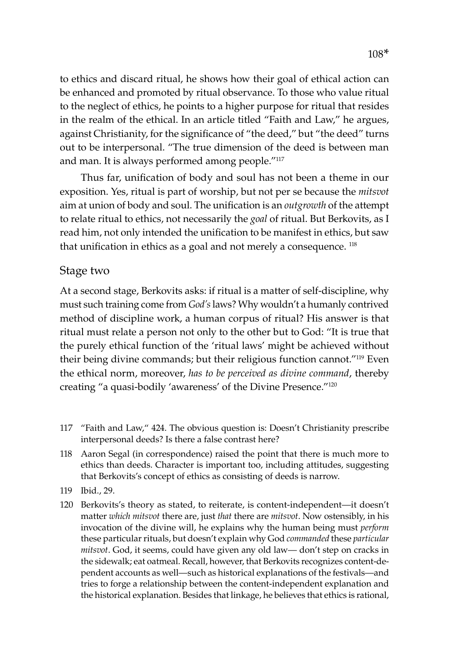to ethics and discard ritual, he shows how their goal of ethical action can be enhanced and promoted by ritual observance. To those who value ritual to the neglect of ethics, he points to a higher purpose for ritual that resides in the realm of the ethical. In an article titled "Faith and Law," he argues, against Christianity, for the significance of "the deed," but "the deed" turns out to be interpersonal. "The true dimension of the deed is between man and man. It is always performed among people."<sup>117</sup>

Thus far, unification of body and soul has not been a theme in our exposition. Yes, ritual is part of worship, but not per se because the *mitsvot* aim at union of body and soul. The unification is an *outgrowth* of the attempt to relate ritual to ethics, not necessarily the *goal* of ritual. But Berkovits, as I read him, not only intended the unification to be manifest in ethics, but saw that unification in ethics as a goal and not merely a consequence.  $118$ 

#### Stage two

At a second stage, Berkovits asks: if ritual is a matter of self-discipline, why must such training come from *God's* laws? Why wouldn't a humanly contrived method of discipline work, a human corpus of ritual? His answer is that ritual must relate a person not only to the other but to God: "It is true that the purely ethical function of the 'ritual laws' might be achieved without their being divine commands; but their religious function cannot."119 Even the ethical norm, moreover, *has to be perceived as divine command*, thereby creating "a quasi-bodily 'awareness' of the Divine Presence."120

- 117 "Faith and Law," 424. The obvious question is: Doesn't Christianity prescribe interpersonal deeds? Is there a false contrast here?
- 118 Aaron Segal (in correspondence) raised the point that there is much more to ethics than deeds. Character is important too, including attitudes, suggesting that Berkovits's concept of ethics as consisting of deeds is narrow.
- 119 Ibid., 29.
- 120 Berkovits's theory as stated, to reiterate, is content-independent—it doesn't matter *which mitsvot* there are, just *that* there are *mitsvot*. Now ostensibly, in his invocation of the divine will, he explains why the human being must *perform*  these particular rituals, but doesn't explain why God *commanded* these *particular mitsvot*. God, it seems, could have given any old law— don't step on cracks in the sidewalk; eat oatmeal. Recall, however, that Berkovits recognizes content-dependent accounts as well—such as historical explanations of the festivals—and tries to forge a relationship between the content-independent explanation and the historical explanation. Besides that linkage, he believes that ethics is rational,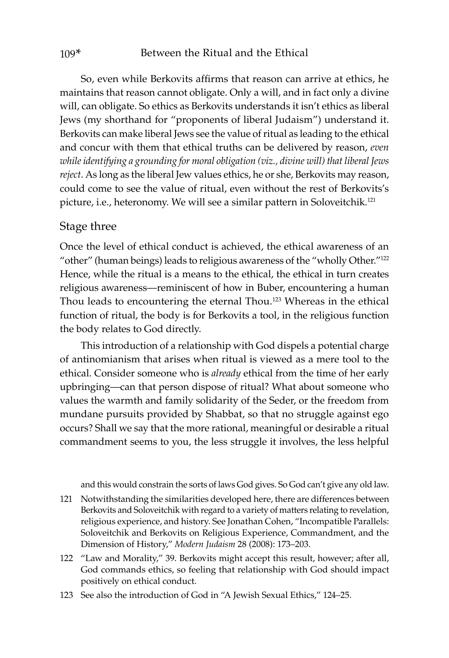So, even while Berkovits affirms that reason can arrive at ethics, he maintains that reason cannot obligate. Only a will, and in fact only a divine will, can obligate. So ethics as Berkovits understands it isn't ethics as liberal Jews (my shorthand for "proponents of liberal Judaism") understand it. Berkovits can make liberal Jews see the value of ritual as leading to the ethical and concur with them that ethical truths can be delivered by reason, *even while identifying a grounding for moral obligation (viz., divine will) that liberal Jews reject*. As long as the liberal Jew values ethics, he or she, Berkovits may reason, could come to see the value of ritual, even without the rest of Berkovits's picture, i.e., heteronomy. We will see a similar pattern in Soloveitchik.<sup>121</sup>

#### Stage three

Once the level of ethical conduct is achieved, the ethical awareness of an "other" (human beings) leads to religious awareness of the "wholly Other."122 Hence, while the ritual is a means to the ethical, the ethical in turn creates religious awareness—reminiscent of how in Buber, encountering a human Thou leads to encountering the eternal Thou.123 Whereas in the ethical function of ritual, the body is for Berkovits a tool, in the religious function the body relates to God directly.

This introduction of a relationship with God dispels a potential charge of antinomianism that arises when ritual is viewed as a mere tool to the ethical. Consider someone who is *already* ethical from the time of her early upbringing—can that person dispose of ritual? What about someone who values the warmth and family solidarity of the Seder, or the freedom from mundane pursuits provided by Shabbat, so that no struggle against ego occurs? Shall we say that the more rational, meaningful or desirable a ritual commandment seems to you, the less struggle it involves, the less helpful

and this would constrain the sorts of laws God gives. So God can't give any old law.

- 121 Notwithstanding the similarities developed here, there are differences between Berkovits and Soloveitchik with regard to a variety of matters relating to revelation, religious experience, and history. See Jonathan Cohen, "Incompatible Parallels: Soloveitchik and Berkovits on Religious Experience, Commandment, and the Dimension of History," *Modern Judaism* 28 (2008): 173–203.
- 122 "Law and Morality," 39. Berkovits might accept this result, however; after all, God commands ethics, so feeling that relationship with God should impact positively on ethical conduct.
- 123 See also the introduction of God in "A Jewish Sexual Ethics," 124–25.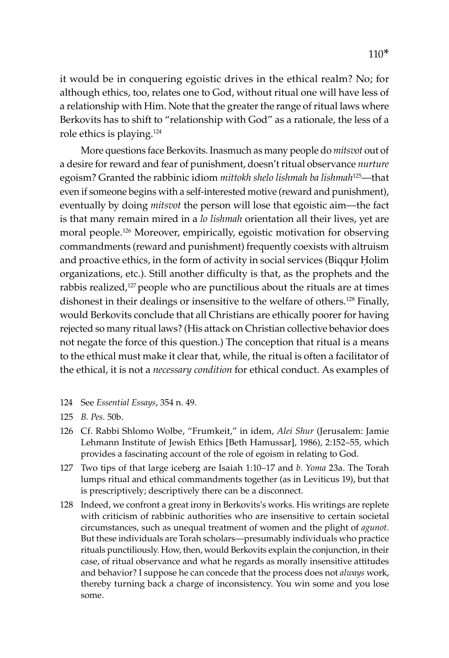it would be in conquering egoistic drives in the ethical realm? No; for although ethics, too, relates one to God, without ritual one will have less of a relationship with Him. Note that the greater the range of ritual laws where Berkovits has to shift to "relationship with God" as a rationale, the less of a role ethics is playing.124

More questions face Berkovits. Inasmuch as many people do *mitsvot* out of a desire for reward and fear of punishment, doesn't ritual observance *nurture*  egoism? Granted the rabbinic idiom *mittokh shelo lishmah ba lishmah*125—that even if someone begins with a self-interested motive (reward and punishment), eventually by doing *mitsvot* the person will lose that egoistic aim—the fact is that many remain mired in a *lo lishmah* orientation all their lives, yet are moral people.126 Moreover, empirically, egoistic motivation for observing commandments (reward and punishment) frequently coexists with altruism and proactive ethics, in the form of activity in social services (Biqqur Ḥolim organizations, etc.). Still another difficulty is that, as the prophets and the rabbis realized,<sup>127</sup> people who are punctilious about the rituals are at times dishonest in their dealings or insensitive to the welfare of others.<sup>128</sup> Finally, would Berkovits conclude that all Christians are ethically poorer for having rejected so many ritual laws? (His attack on Christian collective behavior does not negate the force of this question.) The conception that ritual is a means to the ethical must make it clear that, while, the ritual is often a facilitator of the ethical, it is not a *necessary condition* for ethical conduct. As examples of

- 124 See *Essential Essays*, 354 n. 49.
- 125 *B. Pes.* 50b.
- 126 Cf. Rabbi Shlomo Wolbe, "Frumkeit," in idem, *Alei Shur* (Jerusalem: Jamie Lehmann Institute of Jewish Ethics [Beth Hamussar], 1986), 2:152–55, which provides a fascinating account of the role of egoism in relating to God.
- 127 Two tips of that large iceberg are Isaiah 1:10–17 and *b. Yoma* 23a. The Torah lumps ritual and ethical commandments together (as in Leviticus 19), but that is prescriptively; descriptively there can be a disconnect.
- 128 Indeed, we confront a great irony in Berkovits's works. His writings are replete with criticism of rabbinic authorities who are insensitive to certain societal circumstances, such as unequal treatment of women and the plight of *agunot*. But these individuals are Torah scholars—presumably individuals who practice rituals punctiliously. How, then, would Berkovits explain the conjunction, in their case, of ritual observance and what he regards as morally insensitive attitudes and behavior? I suppose he can concede that the process does not *always* work, thereby turning back a charge of inconsistency. You win some and you lose some.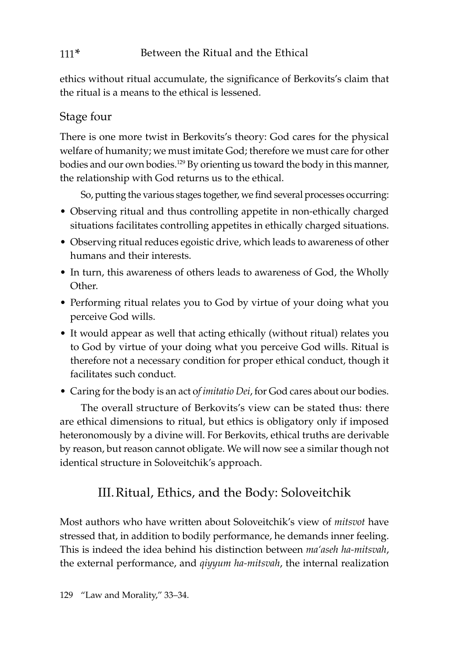#### 111\* Between the Ritual and the Ethical

ethics without ritual accumulate, the significance of Berkovits's claim that the ritual is a means to the ethical is lessened.

## Stage four

There is one more twist in Berkovits's theory: God cares for the physical welfare of humanity; we must imitate God; therefore we must care for other bodies and our own bodies.129 By orienting us toward the body in this manner, the relationship with God returns us to the ethical.

So, putting the various stages together, we find several processes occurring:

- Observing ritual and thus controlling appetite in non-ethically charged situations facilitates controlling appetites in ethically charged situations.
- Observing ritual reduces egoistic drive, which leads to awareness of other humans and their interests.
- In turn, this awareness of others leads to awareness of God, the Wholly Other.
- Performing ritual relates you to God by virtue of your doing what you perceive God wills.
- It would appear as well that acting ethically (without ritual) relates you to God by virtue of your doing what you perceive God wills. Ritual is therefore not a necessary condition for proper ethical conduct, though it facilitates such conduct.
- Caring for the body is an act o*f imitatio Dei*, for God cares about our bodies.

The overall structure of Berkovits's view can be stated thus: there are ethical dimensions to ritual, but ethics is obligatory only if imposed heteronomously by a divine will. For Berkovits, ethical truths are derivable by reason, but reason cannot obligate. We will now see a similar though not identical structure in Soloveitchik's approach.

## III.Ritual, Ethics, and the Body: Soloveitchik

Most authors who have written about Soloveitchik's view of *mitsvot* have stressed that, in addition to bodily performance, he demands inner feeling. This is indeed the idea behind his distinction between *ma'aseh ha-mitsvah*, the external performance, and *qiyyum ha-mitsvah*, the internal realization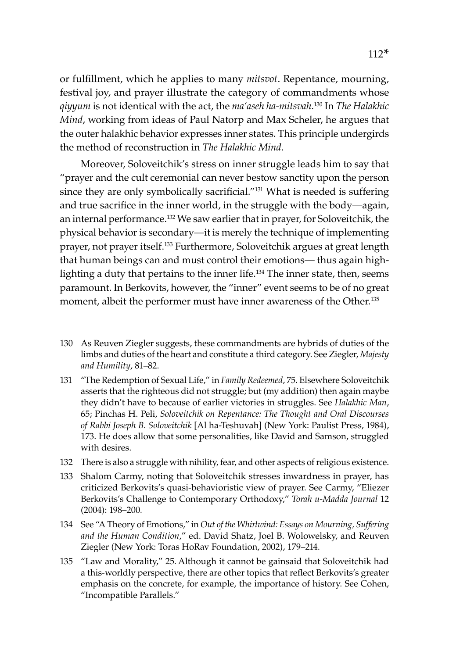or fulfillment, which he applies to many *mitsvot*. Repentance, mourning, festival joy, and prayer illustrate the category of commandments whose *qiyyum* is not identical with the act, the *ma'aseh ha-mitsvah*. 130 In *The Halakhic Mind*, working from ideas of Paul Natorp and Max Scheler, he argues that the outer halakhic behavior expresses inner states. This principle undergirds the method of reconstruction in *The Halakhic Mind*.

Moreover, Soloveitchik's stress on inner struggle leads him to say that "prayer and the cult ceremonial can never bestow sanctity upon the person since they are only symbolically sacrificial."<sup>131</sup> What is needed is suffering and true sacrifice in the inner world, in the struggle with the body—again, an internal performance.132 We saw earlier that in prayer, for Soloveitchik, the physical behavior is secondary—it is merely the technique of implementing prayer, not prayer itself.133 Furthermore, Soloveitchik argues at great length that human beings can and must control their emotions— thus again highlighting a duty that pertains to the inner life.134 The inner state, then, seems paramount. In Berkovits, however, the "inner" event seems to be of no great moment, albeit the performer must have inner awareness of the Other.<sup>135</sup>

- 130 As Reuven Ziegler suggests, these commandments are hybrids of duties of the limbs and duties of the heart and constitute a third category. See Ziegler, *Majesty and Humility*, 81–82.
- 131 "The Redemption of Sexual Life," in *Family Redeemed*, 75. Elsewhere Soloveitchik asserts that the righteous did not struggle; but (my addition) then again maybe they didn't have to because of earlier victories in struggles. See *Halakhic Man*, 65; Pinchas H. Peli, *Soloveitchik on Repentance: The Thought and Oral Discourses of Rabbi Joseph B. Soloveitchik* [Al ha-Teshuvah] (New York: Paulist Press, 1984), 173. He does allow that some personalities, like David and Samson, struggled with desires.
- 132 There is also a struggle with nihility, fear, and other aspects of religious existence.
- 133 Shalom Carmy, noting that Soloveitchik stresses inwardness in prayer, has criticized Berkovits's quasi-behavioristic view of prayer. See Carmy, "Eliezer Berkovits's Challenge to Contemporary Orthodoxy," *Torah u-Madda Journal* 12 (2004): 198–200*.*
- 134 See "A Theory of Emotions," in *Out of the Whirlwind: Essays on Mourning, Suffering and the Human Condition*," ed. David Shatz, Joel B. Wolowelsky, and Reuven Ziegler (New York: Toras HoRav Foundation, 2002), 179–214.
- 135 "Law and Morality," 25*.* Although it cannot be gainsaid that Soloveitchik had a this-worldly perspective, there are other topics that reflect Berkovits's greater emphasis on the concrete, for example, the importance of history. See Cohen, "Incompatible Parallels."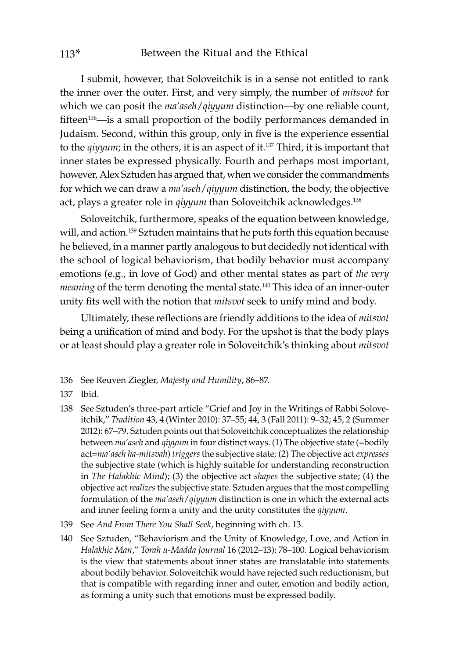I submit, however, that Soloveitchik is in a sense not entitled to rank the inner over the outer. First, and very simply, the number of *mitsvot* for which we can posit the *ma'aseh*/*qiyyum* distinction—by one reliable count, fifteen<sup>136</sup>—is a small proportion of the bodily performances demanded in Judaism. Second, within this group, only in five is the experience essential to the *qiyyum*; in the others, it is an aspect of it.137 Third, it is important that inner states be expressed physically. Fourth and perhaps most important, however, Alex Sztuden has argued that, when we consider the commandments for which we can draw a *ma'aseh*/*qiyyum* distinction, the body, the objective act, plays a greater role in *qiyyum* than Soloveitchik acknowledges.138

Soloveitchik, furthermore, speaks of the equation between knowledge, will, and action.<sup>139</sup> Sztuden maintains that he puts forth this equation because he believed, in a manner partly analogous to but decidedly not identical with the school of logical behaviorism, that bodily behavior must accompany emotions (e.g., in love of God) and other mental states as part of *the very meaning* of the term denoting the mental state.<sup>140</sup> This idea of an inner-outer unity fits well with the notion that *mitsvot* seek to unify mind and body.

Ultimately, these reflections are friendly additions to the idea of *mitsvot* being a unification of mind and body. For the upshot is that the body plays or at least should play a greater role in Soloveitchik's thinking about *mitsvot*

- 136 See Reuven Ziegler, *Majesty and Humility*, 86–87.
- 137 Ibid.
- 138 See Sztuden's three-part article "Grief and Joy in the Writings of Rabbi Soloveitchik," *Tradition* 43, 4 (Winter 2010): 37–55; 44, 3 (Fall 2011): 9–32; 45, 2 (Summer 2012): 67–79. Sztuden points out that Soloveitchik conceptualizes the relationship between *ma'aseh* and *qiyyum* in four distinct ways. (1) The objective state (=bodily act=*ma'aseh ha-mitsvah*) *triggers* the subjective state*;* (2) The objective act *expresses* the subjective state (which is highly suitable for understanding reconstruction in *The Halakhic Mind*); (3) the objective act *shapes* the subjective state; (4) the objective act *realizes* the subjective state. Sztuden argues that the most compelling formulation of the *ma'aseh*/*qiyyum* distinction is one in which the external acts and inner feeling form a unity and the unity constitutes the *qiyyum*.
- 139 See *And From There You Shall Seek*, beginning with ch. 13.
- 140 See Sztuden, "Behaviorism and the Unity of Knowledge, Love, and Action in *Halakhic Man*," *Torah u-Madda Journal* 16 (2012–13): 78–100. Logical behaviorism is the view that statements about inner states are translatable into statements about bodily behavior. Soloveitchik would have rejected such reductionism, but that is compatible with regarding inner and outer, emotion and bodily action, as forming a unity such that emotions must be expressed bodily.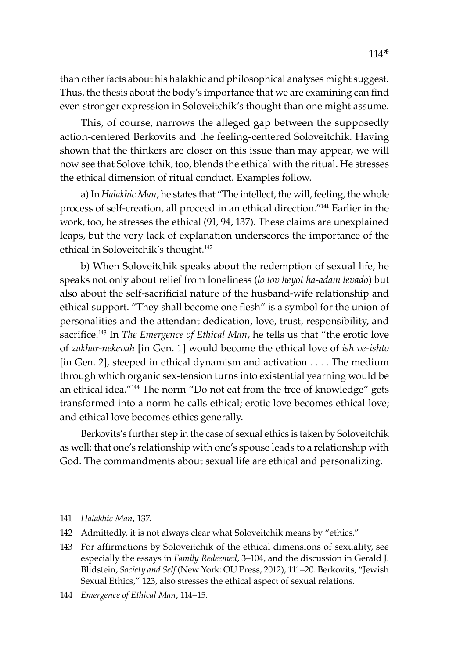than other facts about his halakhic and philosophical analyses might suggest. Thus, the thesis about the body's importance that we are examining can find even stronger expression in Soloveitchik's thought than one might assume.

This, of course, narrows the alleged gap between the supposedly action-centered Berkovits and the feeling-centered Soloveitchik. Having shown that the thinkers are closer on this issue than may appear, we will now see that Soloveitchik, too, blends the ethical with the ritual. He stresses the ethical dimension of ritual conduct. Examples follow.

a) In *Halakhic Man*, he states that "The intellect, the will, feeling, the whole process of self-creation, all proceed in an ethical direction."141 Earlier in the work, too, he stresses the ethical (91, 94, 137). These claims are unexplained leaps, but the very lack of explanation underscores the importance of the ethical in Soloveitchik's thought.142

b) When Soloveitchik speaks about the redemption of sexual life, he speaks not only about relief from loneliness (*lo tov heyot ha-adam levado*) but also about the self-sacrificial nature of the husband-wife relationship and ethical support. "They shall become one flesh" is a symbol for the union of personalities and the attendant dedication, love, trust, responsibility, and sacrifice.143 In *The Emergence of Ethical Man*, he tells us that "the erotic love of *zakhar-nekevah* [in Gen. 1] would become the ethical love of *ish ve-ishto* [in Gen. 2], steeped in ethical dynamism and activation  $\dots$ . The medium through which organic sex-tension turns into existential yearning would be an ethical idea."144 The norm "Do not eat from the tree of knowledge" gets transformed into a norm he calls ethical; erotic love becomes ethical love; and ethical love becomes ethics generally.

Berkovits's further step in the case of sexual ethics is taken by Soloveitchik as well: that one's relationship with one's spouse leads to a relationship with God. The commandments about sexual life are ethical and personalizing.

- 141 *Halakhic Man*, 137.
- 142 Admittedly, it is not always clear what Soloveitchik means by "ethics."
- 143 For affirmations by Soloveitchik of the ethical dimensions of sexuality, see especially the essays in *Family Redeemed*, 3–104, and the discussion in Gerald J. Blidstein, *Society and Self* (New York: OU Press, 2012), 111–20. Berkovits, "Jewish Sexual Ethics," 123, also stresses the ethical aspect of sexual relations.
- 144 *Emergence of Ethical Man*, 114–15.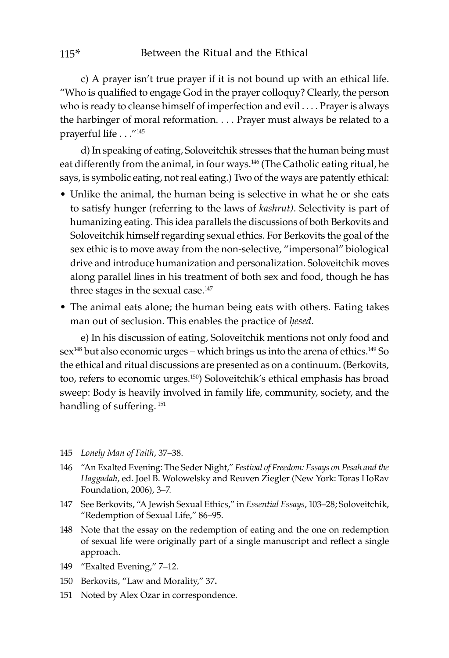c) A prayer isn't true prayer if it is not bound up with an ethical life. "Who is qualified to engage God in the prayer colloquy? Clearly, the person who is ready to cleanse himself of imperfection and evil . . . . Prayer is always the harbinger of moral reformation. . . . Prayer must always be related to a prayerful life . . ."145

d) In speaking of eating, Soloveitchik stresses that the human being must eat differently from the animal, in four ways.<sup>146</sup> (The Catholic eating ritual, he says, is symbolic eating, not real eating.) Two of the ways are patently ethical:

- Unlike the animal, the human being is selective in what he or she eats to satisfy hunger (referring to the laws of *kashrut)*. Selectivity is part of humanizing eating. This idea parallels the discussions of both Berkovits and Soloveitchik himself regarding sexual ethics. For Berkovits the goal of the sex ethic is to move away from the non-selective, "impersonal" biological drive and introduce humanization and personalization. Soloveitchik moves along parallel lines in his treatment of both sex and food, though he has three stages in the sexual case.<sup>147</sup>
- The animal eats alone; the human being eats with others. Eating takes man out of seclusion. This enables the practice of *ḥesed*.

e) In his discussion of eating, Soloveitchik mentions not only food and sex<sup>148</sup> but also economic urges – which brings us into the arena of ethics.<sup>149</sup> So the ethical and ritual discussions are presented as on a continuum. (Berkovits, too, refers to economic urges.150) Soloveitchik's ethical emphasis has broad sweep: Body is heavily involved in family life, community, society, and the handling of suffering.<sup>151</sup>

- 145 *Lonely Man of Faith*, 37–38.
- 146 "An Exalted Evening: The Seder Night," *Festival of Freedom: Essays on Pesah and the Haggadah,* ed. Joel B. Wolowelsky and Reuven Ziegler (New York: Toras HoRav Foundation, 2006), 3–7.
- 147 See Berkovits, "A Jewish Sexual Ethics," in *Essential Essays*, 103–28; Soloveitchik, "Redemption of Sexual Life," 86–95.
- 148 Note that the essay on the redemption of eating and the one on redemption of sexual life were originally part of a single manuscript and reflect a single approach.
- 149 "Exalted Evening," 7–12.
- 150 Berkovits, "Law and Morality," 37**.**
- 151 Noted by Alex Ozar in correspondence.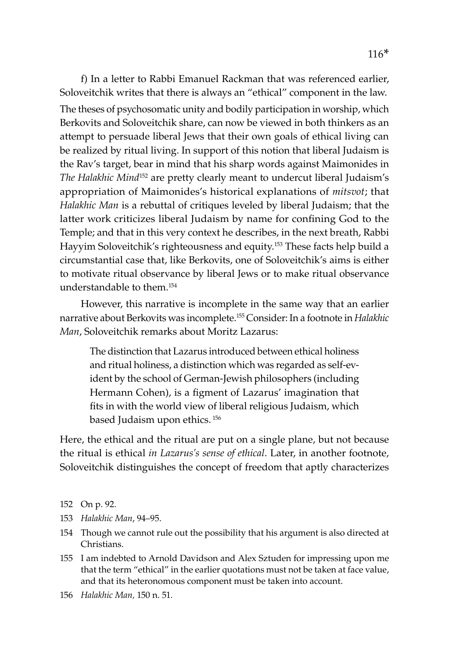f) In a letter to Rabbi Emanuel Rackman that was referenced earlier, Soloveitchik writes that there is always an "ethical" component in the law. The theses of psychosomatic unity and bodily participation in worship, which Berkovits and Soloveitchik share, can now be viewed in both thinkers as an attempt to persuade liberal Jews that their own goals of ethical living can be realized by ritual living. In support of this notion that liberal Judaism is the Rav's target, bear in mind that his sharp words against Maimonides in *The Halakhic Mind*152 are pretty clearly meant to undercut liberal Judaism's appropriation of Maimonides's historical explanations of *mitsvot*; that *Halakhic Man* is a rebuttal of critiques leveled by liberal Judaism; that the latter work criticizes liberal Judaism by name for confining God to the Temple; and that in this very context he describes, in the next breath, Rabbi Hayyim Soloveitchik's righteousness and equity.153 These facts help build a circumstantial case that, like Berkovits, one of Soloveitchik's aims is either to motivate ritual observance by liberal Jews or to make ritual observance understandable to them.154

However, this narrative is incomplete in the same way that an earlier narrative about Berkovits was incomplete.155 Consider: In a footnote in *Halakhic Man*, Soloveitchik remarks about Moritz Lazarus:

The distinction that Lazarus introduced between ethical holiness and ritual holiness, a distinction which was regarded as self-evident by the school of German-Jewish philosophers (including Hermann Cohen), is a figment of Lazarus' imagination that fits in with the world view of liberal religious Judaism, which based Judaism upon ethics. <sup>156</sup>

Here, the ethical and the ritual are put on a single plane, but not because the ritual is ethical *in Lazarus's sense of ethical*. Later, in another footnote, Soloveitchik distinguishes the concept of freedom that aptly characterizes

- 152 On p. 92.
- 153 *Halakhic Man*, 94–95.
- 154 Though we cannot rule out the possibility that his argument is also directed at Christians.
- 155 I am indebted to Arnold Davidson and Alex Sztuden for impressing upon me that the term "ethical" in the earlier quotations must not be taken at face value, and that its heteronomous component must be taken into account.
- 156 *Halakhic Man,* 150 n. 51*.*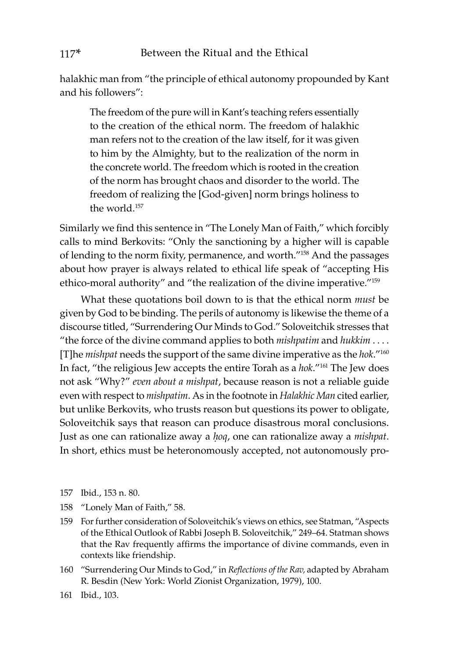halakhic man from "the principle of ethical autonomy propounded by Kant and his followers":

The freedom of the pure will in Kant's teaching refers essentially to the creation of the ethical norm. The freedom of halakhic man refers not to the creation of the law itself, for it was given to him by the Almighty, but to the realization of the norm in the concrete world. The freedom which is rooted in the creation of the norm has brought chaos and disorder to the world. The freedom of realizing the [God-given] norm brings holiness to the world.<sup>157</sup>

Similarly we find this sentence in "The Lonely Man of Faith," which forcibly calls to mind Berkovits: "Only the sanctioning by a higher will is capable of lending to the norm fixity, permanence, and worth."158 And the passages about how prayer is always related to ethical life speak of "accepting His ethico-moral authority" and "the realization of the divine imperative."159

What these quotations boil down to is that the ethical norm *must* be given by God to be binding. The perils of autonomy is likewise the theme of a discourse titled, "Surrendering Our Minds to God." Soloveitchik stresses that "the force of the divine command applies to both *mishpatim* and *hukkim* . . . . [T]he *mishpat* needs the support of the same divine imperative as the *hok*."160 In fact, "the religious Jew accepts the entire Torah as a *hok*."161 The Jew does not ask "Why?" *even about a mishpat*, because reason is not a reliable guide even with respect to *mishpatim*. As in the footnote in *Halakhic Man* cited earlier, but unlike Berkovits, who trusts reason but questions its power to obligate, Soloveitchik says that reason can produce disastrous moral conclusions. Just as one can rationalize away a *ḥoq*, one can rationalize away a *mishpat*. In short, ethics must be heteronomously accepted, not autonomously pro-

- 157 Ibid., 153 n. 80.
- 158 "Lonely Man of Faith," 58.
- 159 For further consideration of Soloveitchik's views on ethics, see Statman, "Aspects of the Ethical Outlook of Rabbi Joseph B. Soloveitchik," 249–64. Statman shows that the Rav frequently affirms the importance of divine commands, even in contexts like friendship.
- 160 "Surrendering Our Minds to God," in *Reflections of the Rav,* adapted by Abraham R. Besdin (New York: World Zionist Organization, 1979), 100.
- 161 Ibid., 103.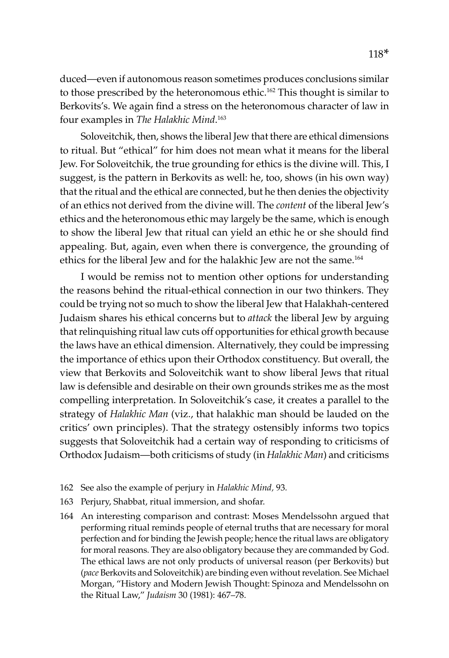duced—even if autonomous reason sometimes produces conclusions similar to those prescribed by the heteronomous ethic.<sup>162</sup> This thought is similar to Berkovits's. We again find a stress on the heteronomous character of law in four examples in *The Halakhic Mind*. 163

Soloveitchik, then, shows the liberal Jew that there are ethical dimensions to ritual. But "ethical" for him does not mean what it means for the liberal Jew. For Soloveitchik, the true grounding for ethics is the divine will. This, I suggest, is the pattern in Berkovits as well: he, too, shows (in his own way) that the ritual and the ethical are connected, but he then denies the objectivity of an ethics not derived from the divine will. The *content* of the liberal Jew's ethics and the heteronomous ethic may largely be the same, which is enough to show the liberal Jew that ritual can yield an ethic he or she should find appealing. But, again, even when there is convergence, the grounding of ethics for the liberal Jew and for the halakhic Jew are not the same.<sup>164</sup>

I would be remiss not to mention other options for understanding the reasons behind the ritual-ethical connection in our two thinkers. They could be trying not so much to show the liberal Jew that Halakhah-centered Judaism shares his ethical concerns but to *attack* the liberal Jew by arguing that relinquishing ritual law cuts off opportunities for ethical growth because the laws have an ethical dimension. Alternatively, they could be impressing the importance of ethics upon their Orthodox constituency. But overall, the view that Berkovits and Soloveitchik want to show liberal Jews that ritual law is defensible and desirable on their own grounds strikes me as the most compelling interpretation. In Soloveitchik's case, it creates a parallel to the strategy of *Halakhic Man* (viz., that halakhic man should be lauded on the critics' own principles). That the strategy ostensibly informs two topics suggests that Soloveitchik had a certain way of responding to criticisms of Orthodox Judaism—both criticisms of study (in *Halakhic Man*) and criticisms

- 162 See also the example of perjury in *Halakhic Mind,* 93*.*
- 163 Perjury, Shabbat, ritual immersion, and shofar.
- 164 An interesting comparison and contrast: Moses Mendelssohn argued that performing ritual reminds people of eternal truths that are necessary for moral perfection and for binding the Jewish people; hence the ritual laws are obligatory for moral reasons. They are also obligatory because they are commanded by God. The ethical laws are not only products of universal reason (per Berkovits) but (*pace* Berkovits and Soloveitchik) are binding even without revelation. See Michael Morgan, "History and Modern Jewish Thought: Spinoza and Mendelssohn on the Ritual Law," *Judaism* 30 (1981): 467–78.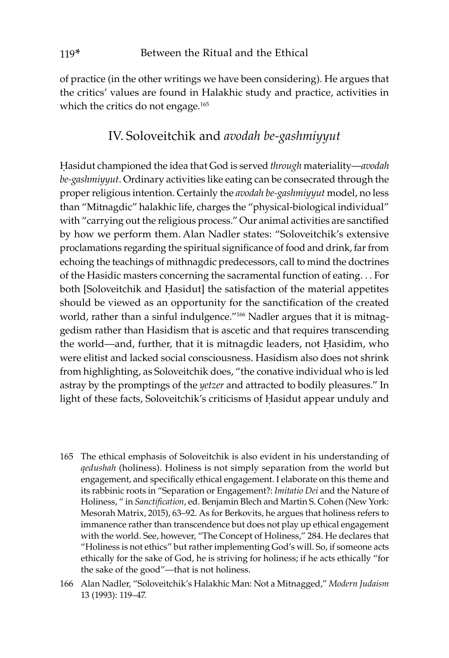of practice (in the other writings we have been considering). He argues that the critics' values are found in Halakhic study and practice, activities in which the critics do not engage.<sup>165</sup>

## IV. Soloveitchik and *avodah be-gashmiyyut*

Ḥasidut championed the idea that God is served *through* materiality—*avodah be-gashmiyyut*. Ordinary activities like eating can be consecrated through the proper religious intention. Certainly the *avodah be-gashmiyyut* model, no less than "Mitnagdic" halakhic life, charges the "physical-biological individual" with "carrying out the religious process." Our animal activities are sanctified by how we perform them. Alan Nadler states: "Soloveitchik's extensive proclamations regarding the spiritual significance of food and drink, far from echoing the teachings of mithnagdic predecessors, call to mind the doctrines of the Hasidic masters concerning the sacramental function of eating. . . For both [Soloveitchik and Ḥasidut] the satisfaction of the material appetites should be viewed as an opportunity for the sanctification of the created world, rather than a sinful indulgence."166 Nadler argues that it is mitnaggedism rather than Hasidism that is ascetic and that requires transcending the world—and, further, that it is mitnagdic leaders, not Ḥasidim, who were elitist and lacked social consciousness. Hasidism also does not shrink from highlighting, as Soloveitchik does, "the conative individual who is led astray by the promptings of the *yetzer* and attracted to bodily pleasures." In light of these facts, Soloveitchik's criticisms of Ḥasidut appear unduly and

- 165 The ethical emphasis of Soloveitchik is also evident in his understanding of *qedushah* (holiness). Holiness is not simply separation from the world but engagement, and specifically ethical engagement. I elaborate on this theme and its rabbinic roots in "Separation or Engagement?: *Imitatio Dei* and the Nature of Holiness, " in *Sanctification*, ed. Benjamin Blech and Martin S. Cohen (New York: Mesorah Matrix, 2015), 63–92. As for Berkovits, he argues that holiness refers to immanence rather than transcendence but does not play up ethical engagement with the world. See, however, "The Concept of Holiness," 284. He declares that "Holiness is not ethics" but rather implementing God's will. So, if someone acts ethically for the sake of God, he is striving for holiness; if he acts ethically "for the sake of the good"—that is not holiness.
- 166 Alan Nadler, "Soloveitchik's Halakhic Man: Not a Mitnagged," *Modern Judaism* 13 (1993): 119–47.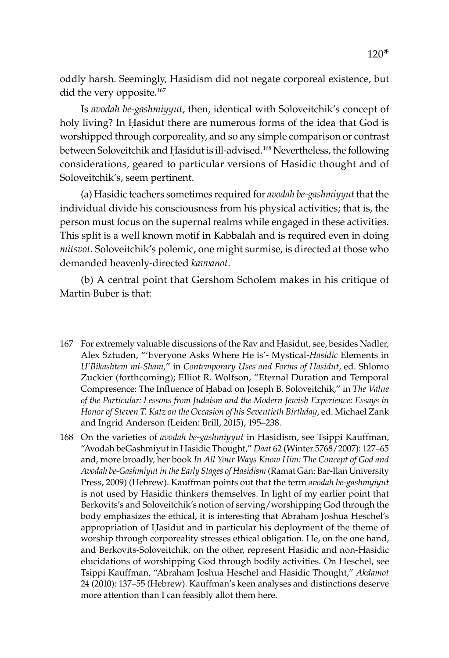oddly harsh. Seemingly, Hasidism did not negate corporeal existence, but did the very opposite.<sup>167</sup>

Is *avodah be-gashmiyyut*, then, identical with Soloveitchik's concept of holy living? In Ḥasidut there are numerous forms of the idea that God is worshipped through corporeality, and so any simple comparison or contrast between Soloveitchik and Hasidut is ill-advised.<sup>168</sup> Nevertheless, the following considerations, geared to particular versions of Hasidic thought and of Soloveitchik's, seem pertinent.

(a) Hasidic teachers sometimes required for *avodah be-gashmiyyut* that the individual divide his consciousness from his physical activities; that is, the person must focus on the supernal realms while engaged in these activities. This split is a well known motif in Kabbalah and is required even in doing *mitsvot*. Soloveitchik's polemic, one might surmise, is directed at those who demanded heavenly-directed *kavvanot*.

(b) A central point that Gershom Scholem makes in his critique of Martin Buber is that:

- 167 For extremely valuable discussions of the Rav and Ḥasidut, see, besides Nadler, Alex Sztuden, "'Everyone Asks Where He is'- Mystical-*Hasidic* Elements in *U'Bikashtem mi-Sham,*" in *Contemporary Uses and Forms of Hasidut*, ed. Shlomo Zuckier (forthcoming); Elliot R. Wolfson, "Eternal Duration and Temporal Compresence: The Influence of Ḥabad on Joseph B. Soloveitchik," in *The Value of the Particular: Lessons from Judaism and the Modern Jewish Experience: Essays in Honor of Steven T. Katz on the Occasion of his Seventieth Birthday*, ed. Michael Zank and Ingrid Anderson (Leiden: Brill, 2015), 195–238.
- 168 On the varieties of *avodah be-gashmiyyut* in Hasidism, see Tsippi Kauffman, "Avodah beGashmiyut in Hasidic Thought," *Daat* 62 (Winter 5768/2007): 127–65 and, more broadly, her book *In All Your Ways Know Him: The Concept of God and Avodah be-Gashmiyut in the Early Stages of Hasidism* (Ramat Gan: Bar-Ilan University Press, 2009) (Hebrew). Kauffman points out that the term *avodah be-gashmyiyut* is not used by Hasidic thinkers themselves. In light of my earlier point that Berkovits's and Soloveitchik's notion of serving/worshipping God through the body emphasizes the ethical, it is interesting that Abraham Joshua Heschel's appropriation of Ḥasidut and in particular his deployment of the theme of worship through corporeality stresses ethical obligation. He, on the one hand, and Berkovits-Soloveitchik, on the other, represent Hasidic and non-Hasidic elucidations of worshipping God through bodily activities. On Heschel, see Tsippi Kauffman, "Abraham Joshua Heschel and Hasidic Thought," *Akdamot*  24 (2010): 137–55 (Hebrew). Kauffman's keen analyses and distinctions deserve more attention than I can feasibly allot them here.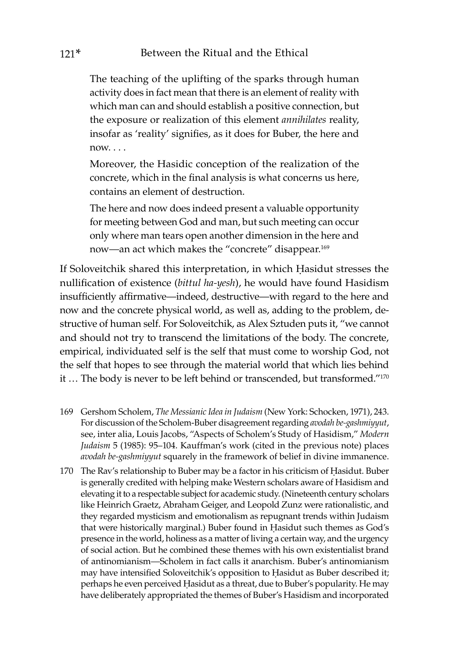The teaching of the uplifting of the sparks through human activity does in fact mean that there is an element of reality with which man can and should establish a positive connection, but the exposure or realization of this element *annihilates* reality, insofar as 'reality' signifies, as it does for Buber, the here and  $n_{\text{OM}}$ 

Moreover, the Hasidic conception of the realization of the concrete, which in the final analysis is what concerns us here, contains an element of destruction.

The here and now does indeed present a valuable opportunity for meeting between God and man, but such meeting can occur only where man tears open another dimension in the here and now—an act which makes the "concrete" disappear.169

If Soloveitchik shared this interpretation, in which Ḥasidut stresses the nullification of existence (*bittul ha-yesh*), he would have found Hasidism insufficiently affirmative—indeed, destructive—with regard to the here and now and the concrete physical world, as well as, adding to the problem, destructive of human self. For Soloveitchik, as Alex Sztuden puts it, "we cannot and should not try to transcend the limitations of the body. The concrete, empirical, individuated self is the self that must come to worship God, not the self that hopes to see through the material world that which lies behind it ... The body is never to be left behind or transcended, but transformed."<sup>170</sup>

- 169 Gershom Scholem, *The Messianic Idea in Judaism* (New York: Schocken, 1971), 243. For discussion of the Scholem-Buber disagreement regarding *avodah be-gashmiyyut*, see, inter alia, Louis Jacobs, "Aspects of Scholem's Study of Hasidism," *Modern Judaism* 5 (1985): 95–104. Kauffman's work (cited in the previous note) places *avodah be-gashmiyyut* squarely in the framework of belief in divine immanence.
- 170 The Rav's relationship to Buber may be a factor in his criticism of Ḥasidut. Buber is generally credited with helping make Western scholars aware of Hasidism and elevating it to a respectable subject for academic study. (Nineteenth century scholars like Heinrich Graetz, Abraham Geiger, and Leopold Zunz were rationalistic, and they regarded mysticism and emotionalism as repugnant trends within Judaism that were historically marginal.) Buber found in Ḥasidut such themes as God's presence in the world, holiness as a matter of living a certain way, and the urgency of social action. But he combined these themes with his own existentialist brand of antinomianism—Scholem in fact calls it anarchism. Buber's antinomianism may have intensified Soloveitchik's opposition to Ḥasidut as Buber described it; perhaps he even perceived Ḥasidut as a threat, due to Buber's popularity. He may have deliberately appropriated the themes of Buber's Hasidism and incorporated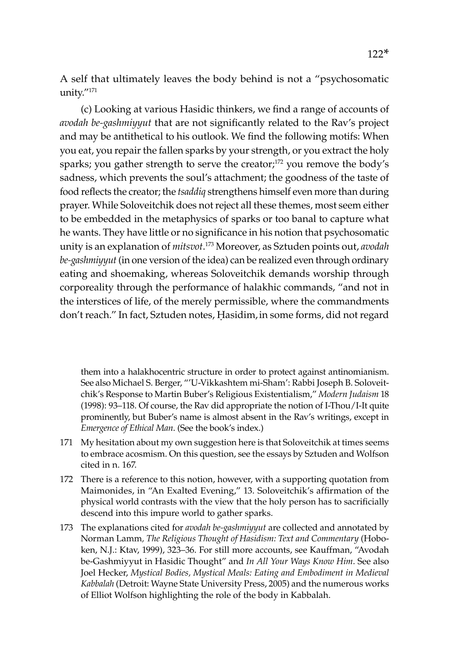A self that ultimately leaves the body behind is not a "psychosomatic unity."171

(c) Looking at various Hasidic thinkers, we find a range of accounts of *avodah be-gashmiyyut* that are not significantly related to the Rav's project and may be antithetical to his outlook. We find the following motifs: When you eat, you repair the fallen sparks by your strength, or you extract the holy sparks; you gather strength to serve the creator;<sup>172</sup> you remove the body's sadness, which prevents the soul's attachment; the goodness of the taste of food reflects the creator; the *tsaddiq* strengthens himself even more than during prayer. While Soloveitchik does not reject all these themes, most seem either to be embedded in the metaphysics of sparks or too banal to capture what he wants. They have little or no significance in his notion that psychosomatic unity is an explanation of *mitsvot*. 173 Moreover, as Sztuden points out, *avodah be-gashmiyyut* (in one version of the idea) can be realized even through ordinary eating and shoemaking, whereas Soloveitchik demands worship through corporeality through the performance of halakhic commands, "and not in the interstices of life, of the merely permissible, where the commandments don't reach." In fact, Sztuden notes, Ḥasidim,in some forms, did not regard

them into a halakhocentric structure in order to protect against antinomianism. See also Michael S. Berger, "'U-Vikkashtem mi-Sham': Rabbi Joseph B. Soloveitchik's Response to Martin Buber's Religious Existentialism," *Modern Judaism* 18 (1998): 93–118. Of course, the Rav did appropriate the notion of I-Thou/I-It quite prominently, but Buber's name is almost absent in the Rav's writings, except in *Emergence of Ethical Man*. (See the book's index.)

- 171 My hesitation about my own suggestion here is that Soloveitchik at times seems to embrace acosmism. On this question, see the essays by Sztuden and Wolfson cited in n. 167.
- 172 There is a reference to this notion, however, with a supporting quotation from Maimonides, in "An Exalted Evening," 13. Soloveitchik's affirmation of the physical world contrasts with the view that the holy person has to sacrificially descend into this impure world to gather sparks.
- 173 The explanations cited for *avodah be-gashmiyyut* are collected and annotated by Norman Lamm*, The Religious Thought of Hasidism: Text and Commentary* (Hoboken, N.J.: Ktav, 1999), 323–36. For still more accounts, see Kauffman, "Avodah be-Gashmiyyut in Hasidic Thought" and *In All Your Ways Know Him*. See also Joel Hecker, *Mystical Bodies, Mystical Meals: Eating and Embodiment in Medieval Kabbalah* (Detroit: Wayne State University Press, 2005) and the numerous works of Elliot Wolfson highlighting the role of the body in Kabbalah.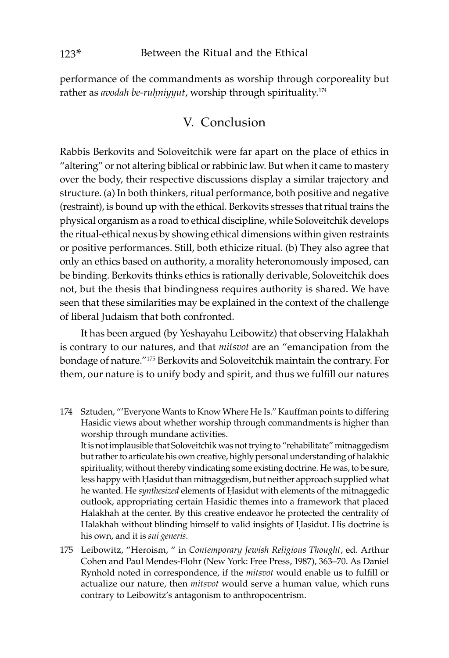performance of the commandments as worship through corporeality but rather as *avodah be-ruḥniyyut*, worship through spirituality.174

## V. Conclusion

Rabbis Berkovits and Soloveitchik were far apart on the place of ethics in "altering" or not altering biblical or rabbinic law. But when it came to mastery over the body, their respective discussions display a similar trajectory and structure. (a) In both thinkers, ritual performance, both positive and negative (restraint), is bound up with the ethical. Berkovits stresses that ritual trains the physical organism as a road to ethical discipline, while Soloveitchik develops the ritual-ethical nexus by showing ethical dimensions within given restraints or positive performances. Still, both ethicize ritual. (b) They also agree that only an ethics based on authority, a morality heteronomously imposed, can be binding. Berkovits thinks ethics is rationally derivable, Soloveitchik does not, but the thesis that bindingness requires authority is shared. We have seen that these similarities may be explained in the context of the challenge of liberal Judaism that both confronted.

It has been argued (by Yeshayahu Leibowitz) that observing Halakhah is contrary to our natures, and that *mitsvot* are an "emancipation from the bondage of nature."175 Berkovits and Soloveitchik maintain the contrary. For them, our nature is to unify body and spirit, and thus we fulfill our natures

174 Sztuden, "'Everyone Wants to Know Where He Is." Kauffman points to differing Hasidic views about whether worship through commandments is higher than worship through mundane activities. It is not implausible that Soloveitchik was not trying to "rehabilitate" mitnaggedism

but rather to articulate his own creative, highly personal understanding of halakhic spirituality, without thereby vindicating some existing doctrine. He was, to be sure, less happy with Ḥasidut than mitnaggedism, but neither approach supplied what he wanted. He *synthesized* elements of Ḥasidut with elements of the mitnaggedic outlook, appropriating certain Hasidic themes into a framework that placed Halakhah at the center. By this creative endeavor he protected the centrality of Halakhah without blinding himself to valid insights of Ḥasidut. His doctrine is his own, and it is *sui generis*.

175 Leibowitz, "Heroism, " in *Contemporary Jewish Religious Thought*, ed. Arthur Cohen and Paul Mendes-Flohr (New York: Free Press, 1987), 363–70. As Daniel Rynhold noted in correspondence, if the *mitsvot* would enable us to fulfill or actualize our nature, then *mitsvot* would serve a human value, which runs contrary to Leibowitz's antagonism to anthropocentrism.